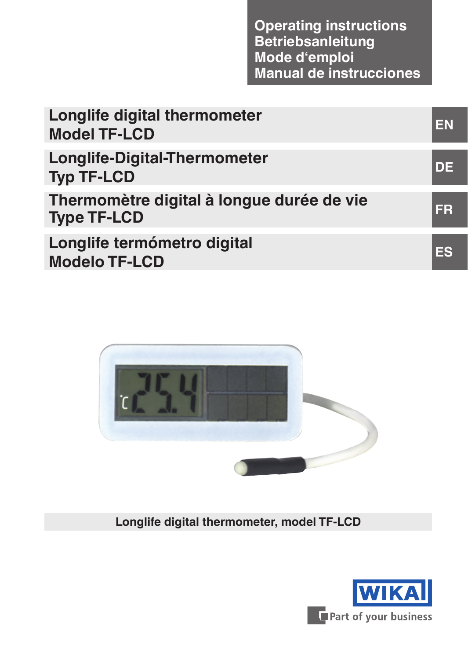**Operating instructions Betriebsanleitung Mode d'emploi Manual de instrucciones**

| Longlife digital thermometer<br><b>Model TF-LCD</b>             | EN |
|-----------------------------------------------------------------|----|
| Longlife-Digital-Thermometer<br><b>Typ TF-LCD</b>               | DE |
| Thermomètre digital à longue durée de vie<br><b>Type TF-LCD</b> | FR |
| Longlife termómetro digital<br><b>Modelo TF-LCD</b>             | FS |



**Longlife digital thermometer, model TF-LCD**

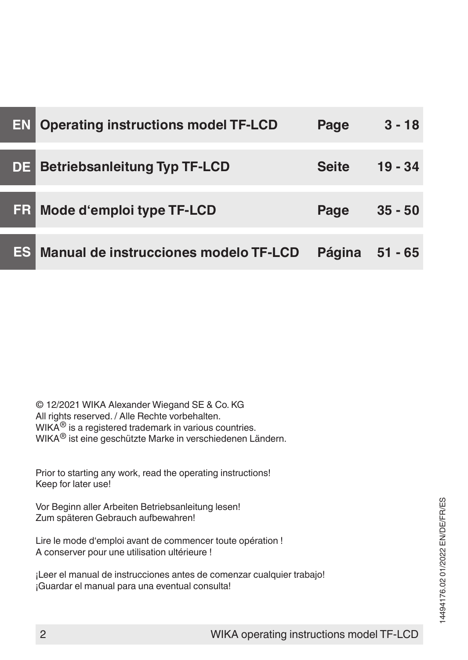| <b>EN Operating instructions model TF-LCD</b>    | Page         | $3 - 18$  |
|--------------------------------------------------|--------------|-----------|
| <b>DE Betriebsanleitung Typ TF-LCD</b>           | <b>Seite</b> | $19 - 34$ |
| <b>ERITA</b> Mode d'emploi type TF-LCD           | Page         | $35 - 50$ |
| <b>EST</b> Manual de instrucciones modelo TF-LCD | Página       | $51 - 65$ |

© 12/2021 WIKA Alexander Wiegand SE & Co. KG All rights reserved. / Alle Rechte vorbehalten. WIKA® is a registered trademark in various countries. WIKA® ist eine geschützte Marke in verschiedenen Ländern.

Prior to starting any work, read the operating instructions! Keep for later use!

Vor Beginn aller Arbeiten Betriebsanleitung lesen! Zum späteren Gebrauch aufbewahren!

Lire le mode d'emploi avant de commencer toute opération ! A conserver pour une utilisation ultérieure !

¡Leer el manual de instrucciones antes de comenzar cualquier trabajo! ¡Guardar el manual para una eventual consulta!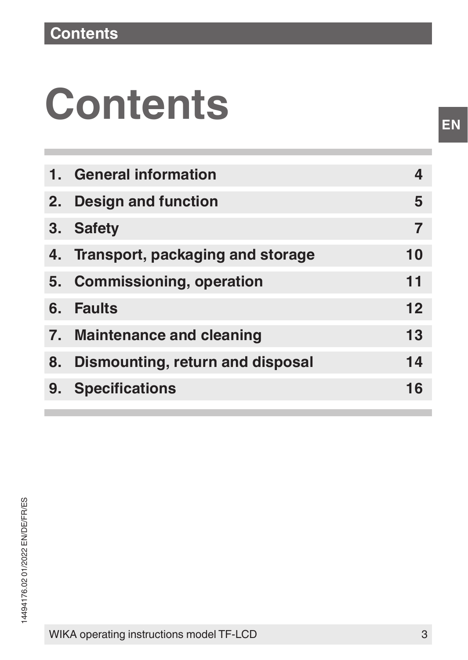# **Contents**

| 1. General information              | 4  |
|-------------------------------------|----|
| 2. Design and function              | 5  |
| 3. Safety                           | 7  |
| 4. Transport, packaging and storage | 10 |
| 5. Commissioning, operation         | 11 |
| 6. Faults                           | 12 |
| 7. Maintenance and cleaning         | 13 |
| 8. Dismounting, return and disposal | 14 |
| 9. Specifications                   | 16 |
|                                     |    |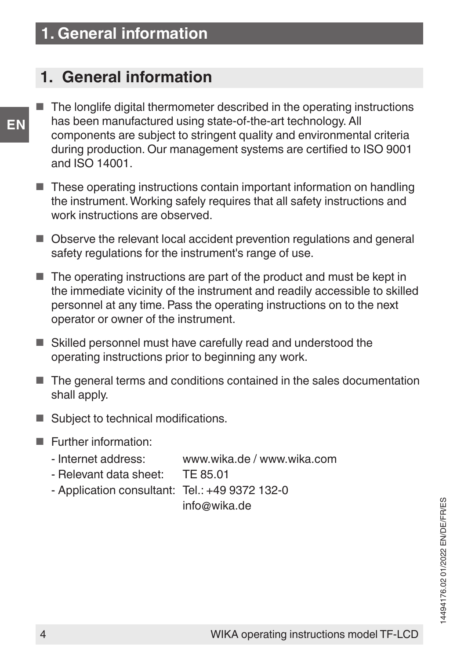## **1. General information**

## **1. General information**

- **EN**
- The longlife digital thermometer described in the operating instructions has been manufactured using state-of-the-art technology. All components are subject to stringent quality and environmental criteria during production. Our management systems are certified to ISO 9001 and ISO 14001.
- These operating instructions contain important information on handling the instrument. Working safely requires that all safety instructions and work instructions are observed.
- Observe the relevant local accident prevention regulations and general safety regulations for the instrument's range of use.
- The operating instructions are part of the product and must be kept in the immediate vicinity of the instrument and readily accessible to skilled personnel at any time. Pass the operating instructions on to the next operator or owner of the instrument.
- Skilled personnel must have carefully read and understood the operating instructions prior to beginning any work.
- The general terms and conditions contained in the sales documentation shall apply.
- Subject to technical modifications.
- Further information:
	- Internet address: www.wika.de / www.wika.com
	- Relevant data sheet: TE 85.01
	- Application consultant: Tel.: +49 9372 132-0

info@wika.de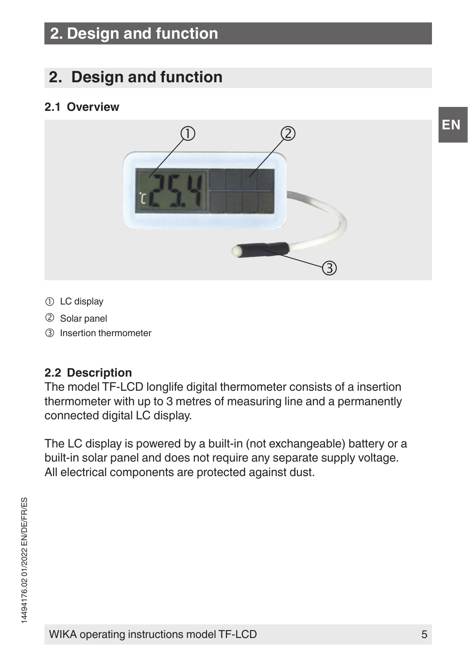## **2. Design and function**

## **2. Design and function**

#### **2.1 Overview**



- LC display
- 2 Solar panel
- Insertion thermometer

#### **2.2 Description**

The model TF-LCD longlife digital thermometer consists of a insertion thermometer with up to 3 metres of measuring line and a permanently connected digital LC display.

The LC display is powered by a built-in (not exchangeable) battery or a built-in solar panel and does not require any separate supply voltage. All electrical components are protected against dust.

**EN**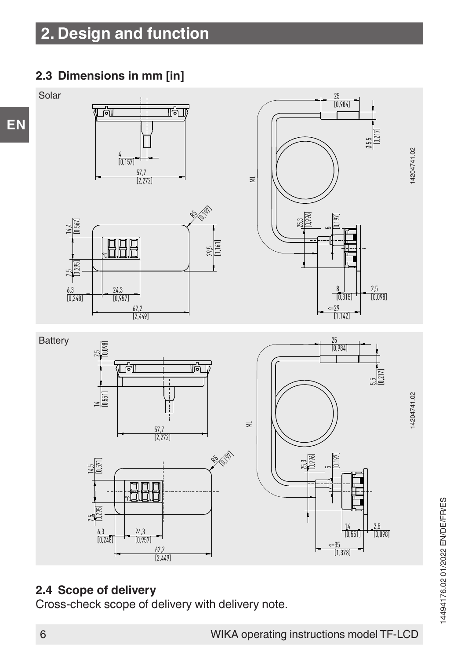## **2. Design and function**

**2.3 Dimensions in mm [in]**



**2.4 Scope of delivery**

14494176.0201/2022 EN/DE/FR/ES 14494176.02 01/2022 EN/DE/FR/ES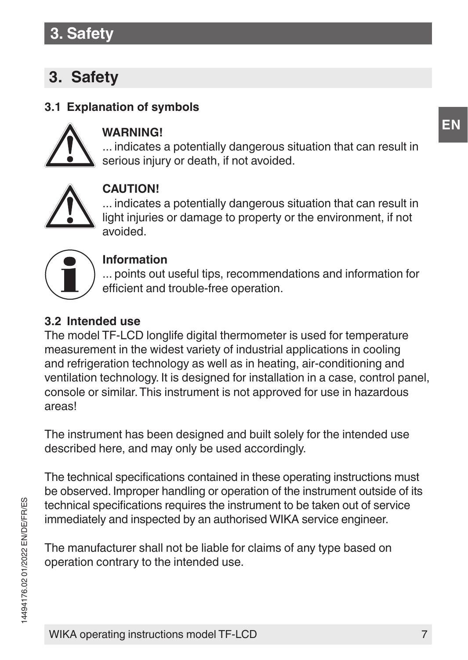## **3. Safety**

## **3. Safety**

#### **3.1 Explanation of symbols**



#### **WARNING!**

... indicates a potentially dangerous situation that can result in serious injury or death, if not avoided.



#### **CAUTION!**

... indicates a potentially dangerous situation that can result in light injuries or damage to property or the environment, if not avoided.



#### **Information**

... points out useful tips, recommendations and information for efficient and trouble-free operation.

#### **3.2 Intended use**

The model TF-LCD longlife digital thermometer is used for temperature measurement in the widest variety of industrial applications in cooling and refrigeration technology as well as in heating, air-conditioning and ventilation technology. It is designed for installation in a case, control panel, console or similar. This instrument is not approved for use in hazardous areas!

The instrument has been designed and built solely for the intended use described here, and may only be used accordingly.

The technical specifications contained in these operating instructions must be observed. Improper handling or operation of the instrument outside of its technical specifications requires the instrument to be taken out of service immediately and inspected by an authorised WIKA service engineer.

The manufacturer shall not be liable for claims of any type based on operation contrary to the intended use.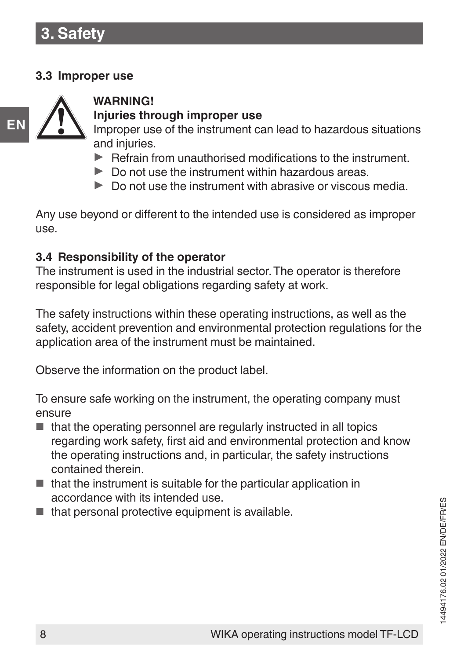## **3. Safety**

#### **3.3 Improper use**



#### **WARNING! Injuries through improper use**

Improper use of the instrument can lead to hazardous situations and injuries.

- $\blacktriangleright$  Refrain from unauthorised modifications to the instrument.
- ▶ Do not use the instrument within hazardous areas.
- ▶ Do not use the instrument with abrasive or viscous media.

Any use beyond or different to the intended use is considered as improper use.

#### **3.4 Responsibility of the operator**

The instrument is used in the industrial sector. The operator is therefore responsible for legal obligations regarding safety at work.

The safety instructions within these operating instructions, as well as the safety, accident prevention and environmental protection regulations for the application area of the instrument must be maintained.

Observe the information on the product label.

To ensure safe working on the instrument, the operating company must ensure

- that the operating personnel are regularly instructed in all topics regarding work safety, first aid and environmental protection and know the operating instructions and, in particular, the safety instructions contained therein.
- $\blacksquare$  that the instrument is suitable for the particular application in accordance with its intended use.
- that personal protective equipment is available.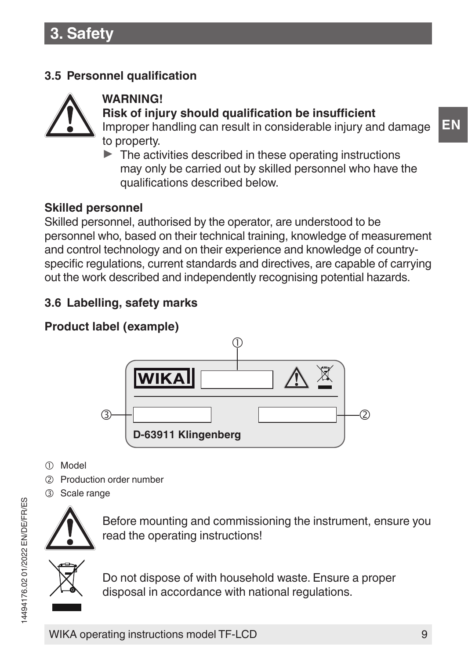## **3. Safety**

#### **3.5 Personnel qualification**



#### **WARNING! Risk of injury should qualification be insufficient** Improper handling can result in considerable injury and damage to property.

 $\blacktriangleright$  The activities described in these operating instructions may only be carried out by skilled personnel who have the qualifications described below.

#### **Skilled personnel**

Skilled personnel, authorised by the operator, are understood to be personnel who, based on their technical training, knowledge of measurement and control technology and on their experience and knowledge of countryspecific regulations, current standards and directives, are capable of carrying out the work described and independently recognising potential hazards.

#### **3.6 Labelling, safety marks**

#### **Product label (example)**



- Model
- Production order number
- 3 Scale range



Before mounting and commissioning the instrument, ensure you read the operating instructions!



14494176.02 01/2022 EN/DE/FR/ES

4494176.02 01/2022 EN/DE/FR/ES

Do not dispose of with household waste. Ensure a proper disposal in accordance with national regulations.

**EN**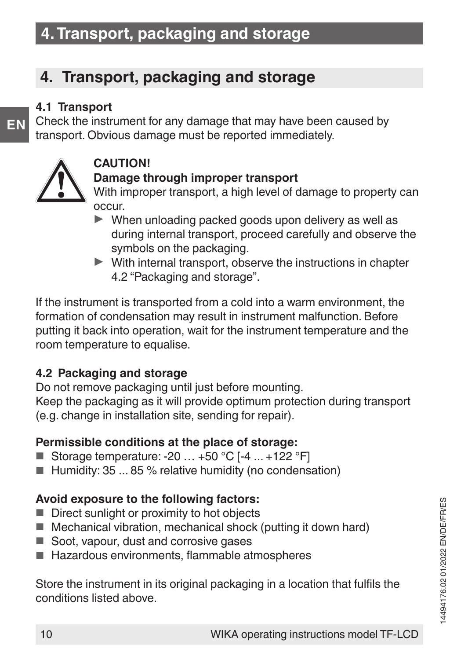## **4. Transport, packaging and storage**

## **4. Transport, packaging and storage**

#### **4.1 Transport**

Check the instrument for any damage that may have been caused by transport. Obvious damage must be reported immediately.



**EN**

#### **CAUTION!**

#### **Damage through improper transport**

With improper transport, a high level of damage to property can occur.

- $\triangleright$  When unloading packed goods upon delivery as well as during internal transport, proceed carefully and observe the symbols on the packaging.
- $\triangleright$  With internal transport, observe the instructions in chapter [4.2 "Packaging and storage"](#page-9-0).

If the instrument is transported from a cold into a warm environment, the formation of condensation may result in instrument malfunction. Before putting it back into operation, wait for the instrument temperature and the room temperature to equalise.

#### <span id="page-9-0"></span>**4.2 Packaging and storage**

Do not remove packaging until just before mounting. Keep the packaging as it will provide optimum protection during transport (e.g. change in installation site, sending for repair).

#### **Permissible conditions at the place of storage:**

- Storage temperature: -20 ... +50 °C [-4 ... +122 °F]
- Humidity: 35 ... 85 % relative humidity (no condensation)

#### **Avoid exposure to the following factors:**

- Direct sunlight or proximity to hot objects
- Mechanical vibration, mechanical shock (putting it down hard)
- Soot, vapour, dust and corrosive gases
- Hazardous environments, flammable atmospheres

Store the instrument in its original packaging in a location that fulfils the conditions listed above.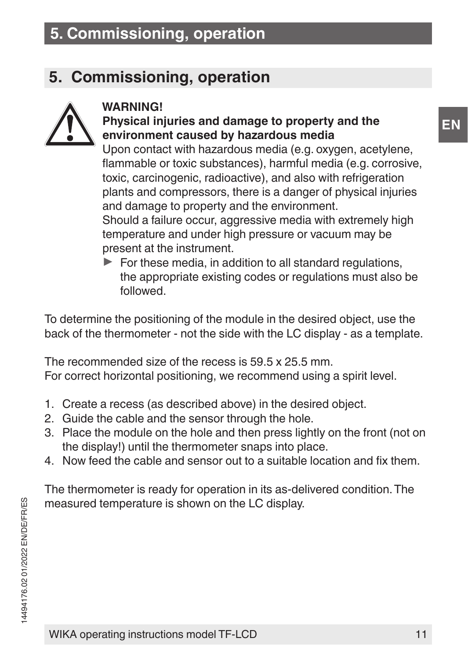## **5. Commissioning, operation**

## **5. Commissioning, operation**



#### **WARNING! Physical injuries and damage to property and the environment caused by hazardous media**

Upon contact with hazardous media (e.g. oxygen, acetylene, flammable or toxic substances), harmful media (e.g. corrosive, toxic, carcinogenic, radioactive), and also with refrigeration plants and compressors, there is a danger of physical injuries and damage to property and the environment. Should a failure occur, aggressive media with extremely high temperature and under high pressure or vacuum may be present at the instrument.

 $\blacktriangleright$  For these media, in addition to all standard regulations, the appropriate existing codes or regulations must also be followed.

To determine the positioning of the module in the desired object, use the back of the thermometer - not the side with the LC display - as a template.

The recommended size of the recess is 59.5 x 25.5 mm. For correct horizontal positioning, we recommend using a spirit level.

- 1. Create a recess (as described above) in the desired object.
- 2. Guide the cable and the sensor through the hole.
- 3. Place the module on the hole and then press lightly on the front (not on the display!) until the thermometer snaps into place.
- 4. Now feed the cable and sensor out to a suitable location and fix them.

The thermometer is ready for operation in its as-delivered condition. The measured temperature is shown on the LC display.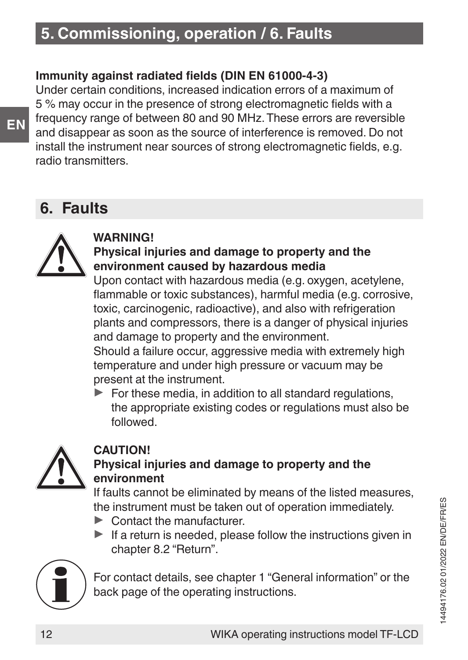## **5. Commissioning, operation / 6. Faults**

#### **Immunity against radiated fields (DIN EN 61000-4-3)**

Under certain conditions, increased indication errors of a maximum of 5 % may occur in the presence of strong electromagnetic fields with a frequency range of between 80 and 90 MHz. These errors are reversible and disappear as soon as the source of interference is removed. Do not install the instrument near sources of strong electromagnetic fields, e.g. radio transmitters.

## **6. Faults**



**EN**

#### **WARNING! Physical injuries and damage to property and the environment caused by hazardous media**

Upon contact with hazardous media (e.g. oxygen, acetylene, flammable or toxic substances), harmful media (e.g. corrosive, toxic, carcinogenic, radioactive), and also with refrigeration plants and compressors, there is a danger of physical injuries and damage to property and the environment. Should a failure occur, aggressive media with extremely high temperature and under high pressure or vacuum may be

present at the instrument.

 $\blacktriangleright$  For these media, in addition to all standard regulations, the appropriate existing codes or regulations must also be followed.



#### **CAUTION!**

#### **Physical injuries and damage to property and the environment**

If faults cannot be eliminated by means of the listed measures, the instrument must be taken out of operation immediately.

- $\blacktriangleright$  Contact the manufacturer.
- $\blacktriangleright$  If a return is needed, please follow the instructions given in chapter [8.2 "Return".](#page-14-0)



For contact details, see chapter 1 "General information" or the back page of the operating instructions.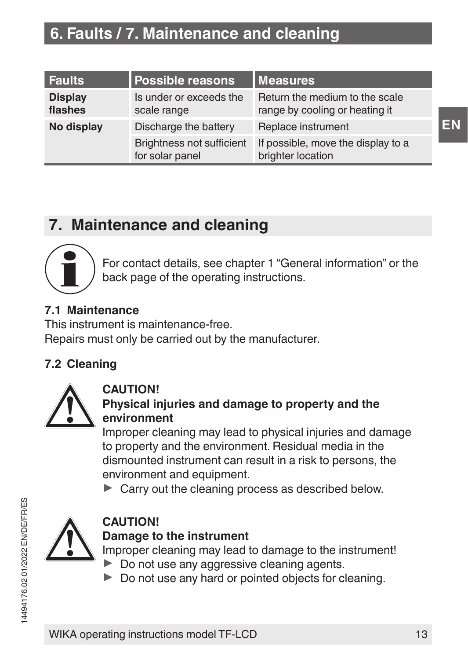## **6. Faults / 7. Maintenance and cleaning**

| <b>Faults</b>             | <b>Possible reasons</b>                      | <b>I</b> Measures                                                |
|---------------------------|----------------------------------------------|------------------------------------------------------------------|
| <b>Display</b><br>flashes | Is under or exceeds the<br>scale range       | Return the medium to the scale<br>range by cooling or heating it |
| No display                | Discharge the battery                        | Replace instrument                                               |
|                           | Brightness not sufficient<br>for solar panel | If possible, move the display to a<br>brighter location          |

## **7. Maintenance and cleaning**



For contact details, see chapter 1 "General information" or the back page of the operating instructions.

#### **7.1 Maintenance**

This instrument is maintenance-free. Repairs must only be carried out by the manufacturer.

#### <span id="page-12-0"></span>**7.2 Cleaning**



### **Physical injuries and damage to property and the environment**

Improper cleaning may lead to physical injuries and damage to property and the environment. Residual media in the dismounted instrument can result in a risk to persons, the environment and equipment.

▶ Carry out the cleaning process as described below.



#### **CAUTION!**

#### **Damage to the instrument**

Improper cleaning may lead to damage to the instrument!

- $\triangleright$  Do not use any aggressive cleaning agents.
- ▶ Do not use any hard or pointed objects for cleaning.

**EN**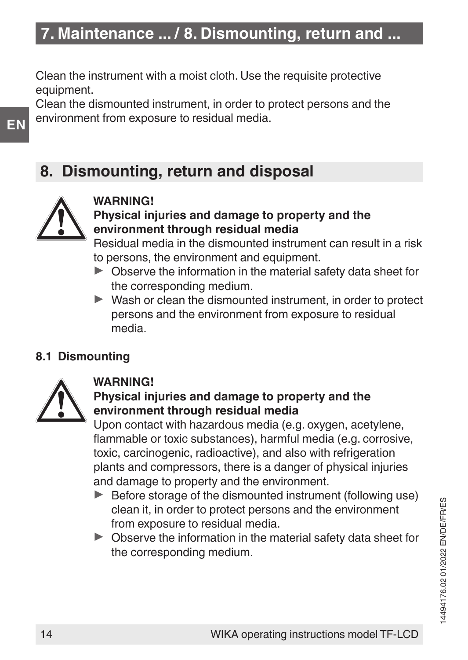Clean the instrument with a moist cloth. Use the requisite protective equipment.

Clean the dismounted instrument, in order to protect persons and the environment from exposure to residual media.

## **8. Dismounting, return and disposal**



#### **WARNING!**

#### **Physical injuries and damage to property and the environment through residual media**

Residual media in the dismounted instrument can result in a risk to persons, the environment and equipment.

- $\triangleright$  Observe the information in the material safety data sheet for the corresponding medium.
- $\triangleright$  Wash or clean the dismounted instrument, in order to protect persons and the environment from exposure to residual media.

#### **8.1 Dismounting**



#### **WARNING!**

#### **Physical injuries and damage to property and the environment through residual media**

Upon contact with hazardous media (e.g. oxygen, acetylene, flammable or toxic substances), harmful media (e.g. corrosive, toxic, carcinogenic, radioactive), and also with refrigeration plants and compressors, there is a danger of physical injuries and damage to property and the environment.

- ▶ Before storage of the dismounted instrument (following use) clean it, in order to protect persons and the environment from exposure to residual media.
- ▶ Observe the information in the material safety data sheet for the corresponding medium.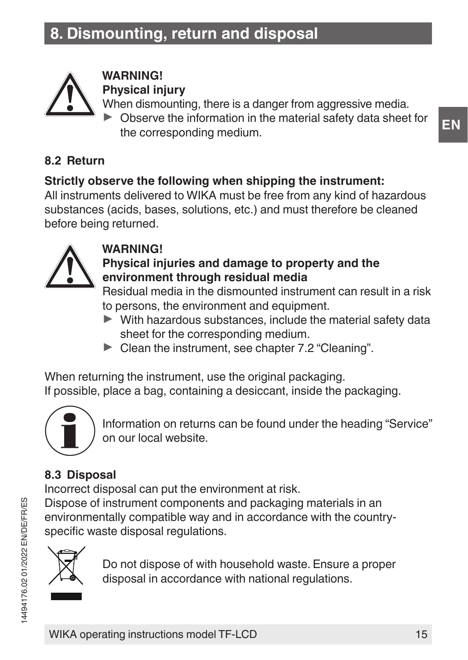

#### **WARNING! Physical injury**

When dismounting, there is a danger from aggressive media.

<span id="page-14-0"></span>Observe the information in the material safety data sheet for the corresponding medium.

#### **8.2 Return**

#### **Strictly observe the following when shipping the instrument:**

All instruments delivered to WIKA must be free from any kind of hazardous substances (acids, bases, solutions, etc.) and must therefore be cleaned before being returned.



#### **WARNING!**

#### **Physical injuries and damage to property and the environment through residual media**

Residual media in the dismounted instrument can result in a risk to persons, the environment and equipment.

- $\triangleright$  With hazardous substances, include the material safety data sheet for the corresponding medium.
- ▶ Clean the instrument, see chapter [7.2 "Cleaning".](#page-12-0)

When returning the instrument, use the original packaging.

If possible, place a bag, containing a desiccant, inside the packaging.



Information on returns can be found under the heading "Service" on our local website.

#### **8.3 Disposal**

Incorrect disposal can put the environment at risk.

Dispose of instrument components and packaging materials in an environmentally compatible way and in accordance with the countryspecific waste disposal regulations.



Do not dispose of with household waste. Ensure a proper disposal in accordance with national regulations.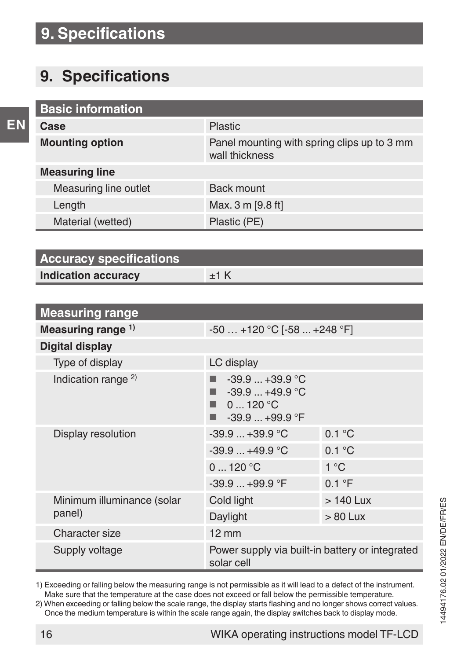## **9. Specifications**

## **9. Specifications**

| <b>Basic information</b> |                                                               |
|--------------------------|---------------------------------------------------------------|
| Case                     | Plastic                                                       |
| <b>Mounting option</b>   | Panel mounting with spring clips up to 3 mm<br>wall thickness |
| <b>Measuring line</b>    |                                                               |
| Measuring line outlet    | Back mount                                                    |
| Length                   | Max. 3 m [9.8 ft]                                             |
| Material (wetted)        | Plastic (PE)                                                  |

| <b>Accuracy specifications</b> |        |
|--------------------------------|--------|
| Indication accuracy            | $±1$ K |

| <b>Measuring range</b>         |                                                                                       |               |
|--------------------------------|---------------------------------------------------------------------------------------|---------------|
| Measuring range $1$            | $-50+120$ °C [ $-58+248$ °F]                                                          |               |
| Digital display                |                                                                                       |               |
| Type of display                | LC display                                                                            |               |
| Indication range <sup>2)</sup> | $-39.9+39.9$ °C<br>■ $-39.9+49.9$ °C<br>$\blacksquare$ 0  120 °C<br>■ $-39.9+99.9$ °F |               |
| Display resolution             | $-39.9+39.9^{\circ}C$                                                                 | 0.1 °C        |
|                                | $-39.9+49.9^{\circ}C$                                                                 | 0.1 °C        |
|                                | 0120 °C                                                                               | $1^{\circ}$ C |
|                                | $-39.9+99.9$ °F                                                                       | 0.1 °F        |
| Minimum illuminance (solar     | Cold light                                                                            | $>140$ Lux    |
| panel)                         | Daylight                                                                              | $>80$ Lux     |
| Character size                 | $12 \text{ mm}$                                                                       |               |
| Supply voltage                 | Power supply via built-in battery or integrated<br>solar cell                         |               |

1) Exceeding or falling below the measuring range is not permissible as it will lead to a defect of the instrument. Make sure that the temperature at the case does not exceed or fall below the permissible temperature.

2) When exceeding or falling below the scale range, the display starts flashing and no longer shows correct values. Once the medium temperature is within the scale range again, the display switches back to display mode.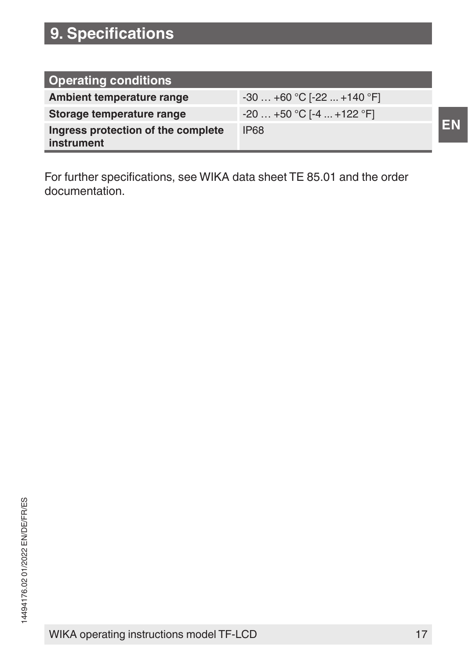## **9. Specifications**

| <b>Operating conditions</b>                      |                             |    |
|--------------------------------------------------|-----------------------------|----|
| Ambient temperature range                        | $-30+60$ °C [ $-22+140$ °F] |    |
| Storage temperature range                        | $-20+50$ °C [-4  +122 °F]   |    |
| Ingress protection of the complete<br>instrument | <b>IP68</b>                 | ΞN |

For further specifications, see WIKA data sheet TE 85.01 and the order documentation.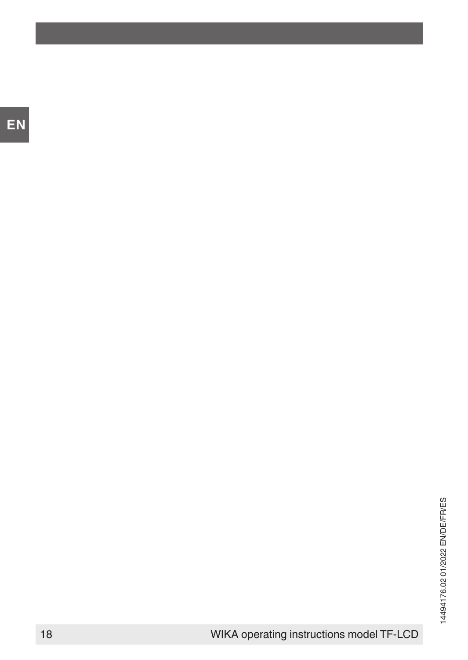**EN**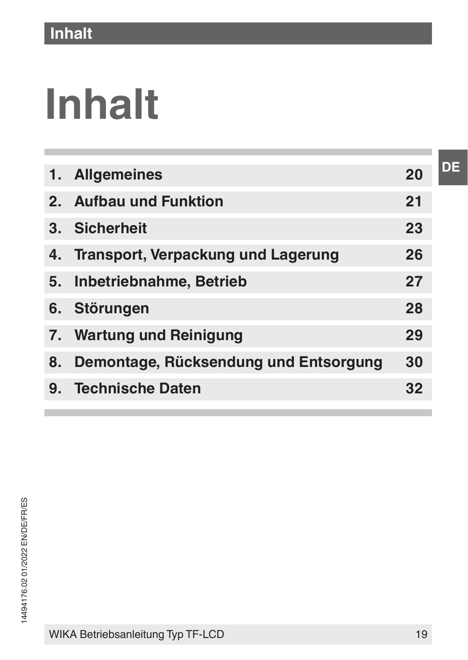# **Inhalt**

|    | 1. Allgemeines                        | 20 |
|----|---------------------------------------|----|
|    | 2. Aufbau und Funktion                | 21 |
|    | 3. Sicherheit                         | 23 |
|    | 4. Transport, Verpackung und Lagerung | 26 |
|    | 5. Inbetriebnahme, Betrieb            | 27 |
|    | 6. Störungen                          | 28 |
|    | 7. Wartung und Reinigung              | 29 |
| 8. | Demontage, Rücksendung und Entsorgung | 30 |
|    | 9. Technische Daten                   | 32 |
|    |                                       |    |

**DE**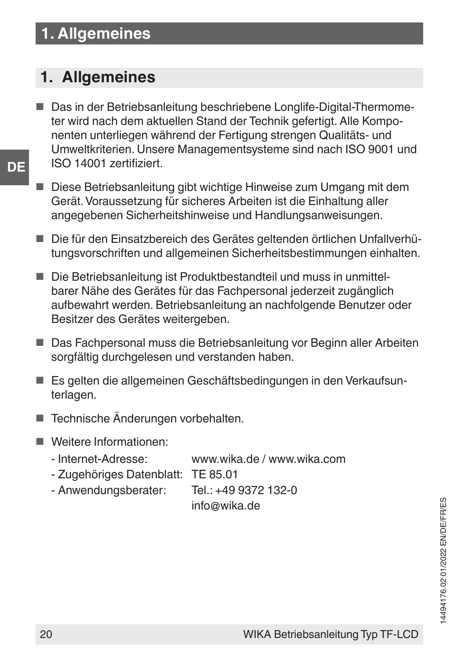## <span id="page-19-0"></span>**1. Allgemeines**

## **1. Allgemeines**

- Das in der Betriebsanleitung beschriebene Longlife-Digital-Thermometer wird nach dem aktuellen Stand der Technik gefertigt. Alle Komponenten unterliegen während der Fertigung strengen Qualitäts- und Umweltkriterien. Unsere Managementsysteme sind nach ISO 9001 und ISO 14001 zertifiziert.
- Diese Betriebsanleitung gibt wichtige Hinweise zum Umgang mit dem Gerät. Voraussetzung für sicheres Arbeiten ist die Einhaltung aller angegebenen Sicherheitshinweise und Handlungsanweisungen.
- Die für den Einsatzbereich des Gerätes geltenden örtlichen Unfallverhütungsvorschriften und allgemeinen Sicherheitsbestimmungen einhalten.
- Die Betriebsanleitung ist Produktbestandteil und muss in unmittelbarer Nähe des Gerätes für das Fachpersonal jederzeit zugänglich aufbewahrt werden. Betriebsanleitung an nachfolgende Benutzer oder Besitzer des Gerätes weitergeben.
- Das Fachpersonal muss die Betriebsanleitung vor Beginn aller Arbeiten sorgfältig durchgelesen und verstanden haben.
- Es gelten die allgemeinen Geschäftsbedingungen in den Verkaufsunterlagen.
- Technische Änderungen vorbehalten.
- Weitere Informationen:
	- Internet-Adresse: www.wika.de / www.wika.com
	- Zugehöriges Datenblatt: TE 85.01
	- Anwendungsberater: Tel.: +49 9372 132-0
		- info@wika.de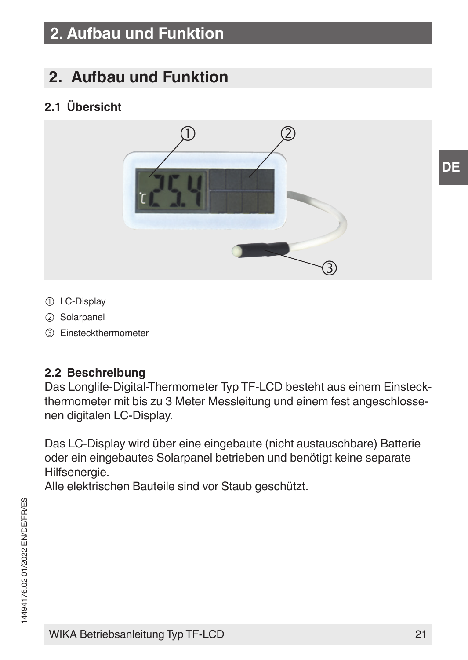## <span id="page-20-0"></span>**2. Aufbau und Funktion**

## **2. Aufbau und Funktion**

### **2.1 Übersicht**



- LC-Display
- (2) Solarpanel
- Einsteckthermometer

#### **2.2 Beschreibung**

Das Longlife-Digital-Thermometer Typ TF-LCD besteht aus einem Einsteckthermometer mit bis zu 3 Meter Messleitung und einem fest angeschlossenen digitalen LC-Display.

Das LC-Display wird über eine eingebaute (nicht austauschbare) Batterie oder ein eingebautes Solarpanel betrieben und benötigt keine separate Hilfsenergie.

Alle elektrischen Bauteile sind vor Staub geschützt.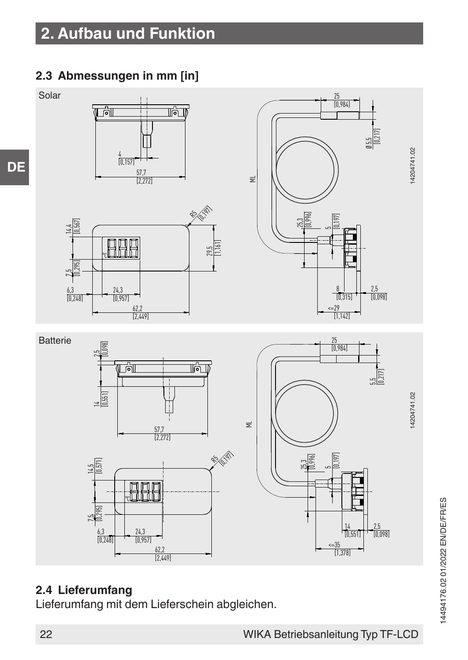## **2. Aufbau und Funktion**





62,2 [2,449]

 $263$ [0,957]

°C

[0,295]

6,3 [0,248]

 $-35$ [1,378] 14  $551$ 2,5 [0,098]

2,5 [0,098]

5,5 [0,217]

14204741.02

14204741.02

5,5 [0,217]

14204741.02

4204741.02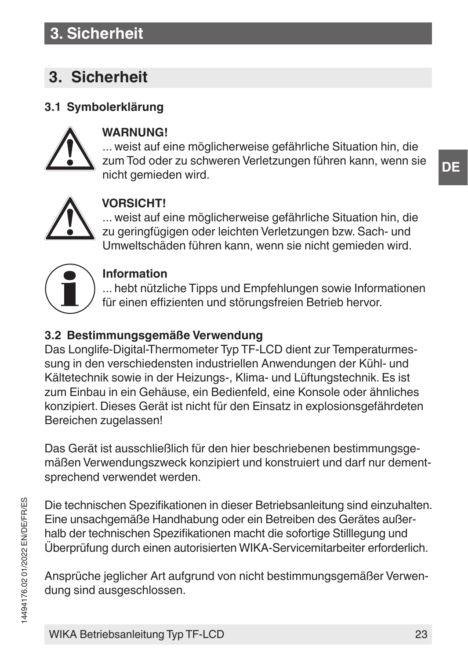## <span id="page-22-0"></span>**3. Sicherheit**

## **3. Sicherheit**

#### **3.1 Symbolerklärung**



#### **WARNUNG!**

... weist auf eine möglicherweise gefährliche Situation hin, die zum Tod oder zu schweren Verletzungen führen kann, wenn sie nicht gemieden wird.



#### **VORSICHT!**

... weist auf eine möglicherweise gefährliche Situation hin, die zu geringfügigen oder leichten Verletzungen bzw. Sach- und Umweltschäden führen kann, wenn sie nicht gemieden wird.



#### **Information**

... hebt nützliche Tipps und Empfehlungen sowie Informationen für einen effizienten und störungsfreien Betrieb hervor.

#### **3.2 Bestimmungsgemäße Verwendung**

Das Longlife-Digital-Thermometer Typ TF-LCD dient zur Temperaturmessung in den verschiedensten industriellen Anwendungen der Kühl- und Kältetechnik sowie in der Heizungs-, Klima- und Lüftungstechnik. Es ist zum Einbau in ein Gehäuse, ein Bedienfeld, eine Konsole oder ähnliches konzipiert. Dieses Gerät ist nicht für den Einsatz in explosionsgefährdeten Bereichen zugelassen!

Das Gerät ist ausschließlich für den hier beschriebenen bestimmungsgemäßen Verwendungszweck konzipiert und konstruiert und darf nur dementsprechend verwendet werden.

Die technischen Spezifikationen in dieser Betriebsanleitung sind einzuhalten. Eine unsachgemäße Handhabung oder ein Betreiben des Gerätes außerhalb der technischen Spezifikationen macht die sofortige Stilllegung und Überprüfung durch einen autorisierten WIKA-Servicemitarbeiter erforderlich.

Ansprüche jeglicher Art aufgrund von nicht bestimmungsgemäßer Verwendung sind ausgeschlossen.

**DE**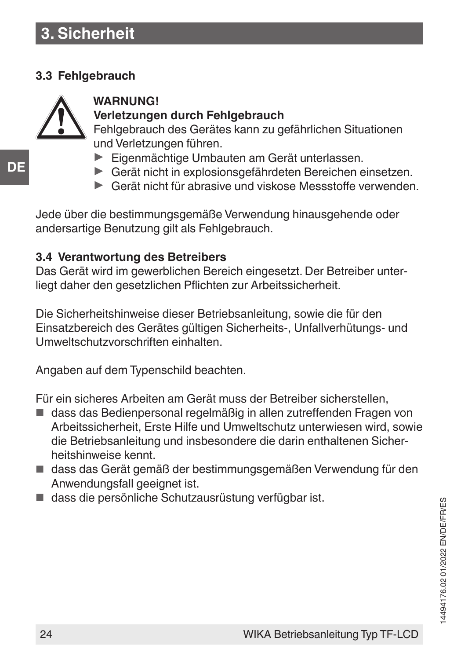## **3. Sicherheit**

#### **3.3 Fehlgebrauch**



**DE**

#### **WARNUNG! Verletzungen durch Fehlgebrauch**

Fehlgebrauch des Gerätes kann zu gefährlichen Situationen und Verletzungen führen.

- ▶ Eigenmächtige Umbauten am Gerät unterlassen.
- $\triangleright$  Gerät nicht in explosionsgefährdeten Bereichen einsetzen.
- ▶ Gerät nicht für abrasive und viskose Messstoffe verwenden.

Jede über die bestimmungsgemäße Verwendung hinausgehende oder andersartige Benutzung gilt als Fehlgebrauch.

#### **3.4 Verantwortung des Betreibers**

Das Gerät wird im gewerblichen Bereich eingesetzt. Der Betreiber unterliegt daher den gesetzlichen Pflichten zur Arbeitssicherheit.

Die Sicherheitshinweise dieser Betriebsanleitung, sowie die für den Einsatzbereich des Gerätes gültigen Sicherheits-, Unfallverhütungs- und Umweltschutzvorschriften einhalten.

Angaben auf dem Typenschild beachten.

Für ein sicheres Arbeiten am Gerät muss der Betreiber sicherstellen,

- dass das Bedienpersonal regelmäßig in allen zutreffenden Fragen von Arbeitssicherheit, Erste Hilfe und Umweltschutz unterwiesen wird, sowie die Betriebsanleitung und insbesondere die darin enthaltenen Sicherheitshinweise kennt.
- dass das Gerät gemäß der bestimmungsgemäßen Verwendung für den Anwendungsfall geeignet ist.
- dass die persönliche Schutzausrüstung verfügbar ist.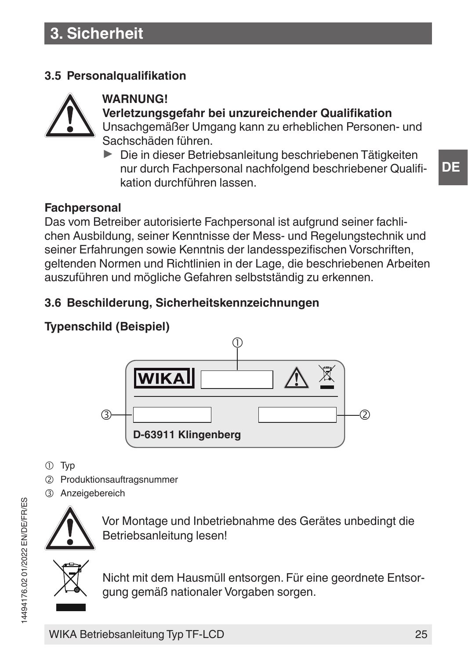#### **3.5 Personalqualifikation**



**WARNUNG! Verletzungsgefahr bei unzureichender Qualifikation** Unsachgemäßer Umgang kann zu erheblichen Personen- und Sachschäden führen.

▶ Die in dieser Betriebsanleitung beschriebenen Tätigkeiten nur durch Fachpersonal nachfolgend beschriebener Qualifikation durchführen lassen.

#### **Fachpersonal**

Das vom Betreiber autorisierte Fachpersonal ist aufgrund seiner fachlichen Ausbildung, seiner Kenntnisse der Mess- und Regelungstechnik und seiner Erfahrungen sowie Kenntnis der landesspezifischen Vorschriften, geltenden Normen und Richtlinien in der Lage, die beschriebenen Arbeiten auszuführen und mögliche Gefahren selbstständig zu erkennen.

#### **3.6 Beschilderung, Sicherheitskennzeichnungen**

#### **Typenschild (Beispiel)**



- Typ
- Produktionsauftragsnummer
- Anzeigebereich



Vor Montage und Inbetriebnahme des Gerätes unbedingt die Betriebsanleitung lesen!



14494176.02 01/2022 EN/DE/FR/ES

4494176.02 01/2022 EWDE/FR/ES

Nicht mit dem Hausmüll entsorgen. Für eine geordnete Entsorgung gemäß nationaler Vorgaben sorgen.

**DE**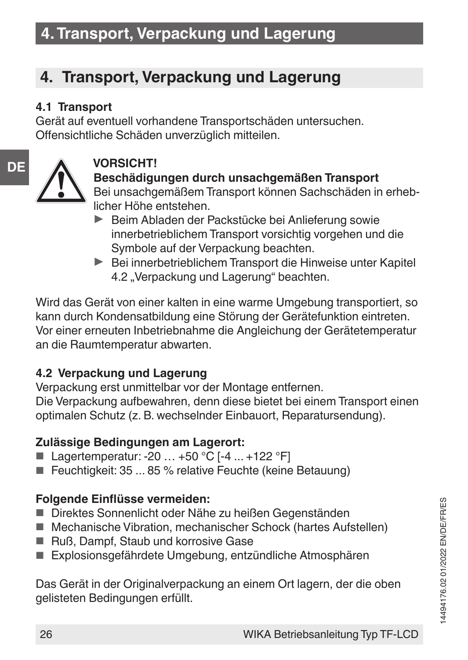## <span id="page-25-0"></span>**4. Transport, Verpackung und Lagerung**

#### **4.1 Transport**

Gerät auf eventuell vorhandene Transportschäden untersuchen. Offensichtliche Schäden unverzüglich mitteilen.



#### **VORSICHT!**

**Beschädigungen durch unsachgemäßen Transport** Bei unsachgemäßem Transport können Sachschäden in erheblicher Höhe entstehen.

- ▶ Beim Abladen der Packstücke bei Anlieferung sowie innerbetrieblichem Transport vorsichtig vorgehen und die Symbole auf der Verpackung beachten.
- ▶ Bei innerbetrieblichem Transport die Hinweise unter Kapitel [4.2 "Verpackung und Lagerung"](#page-25-1) beachten.

Wird das Gerät von einer kalten in eine warme Umgebung transportiert, so kann durch Kondensatbildung eine Störung der Gerätefunktion eintreten. Vor einer erneuten Inbetriebnahme die Angleichung der Gerätetemperatur an die Raumtemperatur abwarten.

#### <span id="page-25-1"></span>**4.2 Verpackung und Lagerung**

Verpackung erst unmittelbar vor der Montage entfernen. Die Verpackung aufbewahren, denn diese bietet bei einem Transport einen optimalen Schutz (z. B. wechselnder Einbauort, Reparatursendung).

#### **Zulässige Bedingungen am Lagerort:**

- Lagertemperatur: -20 ... +50 °C [-4 ... +122 °F]
- Feuchtigkeit: 35 ... 85 % relative Feuchte (keine Betauung)

#### **Folgende Einflüsse vermeiden:**

- Direktes Sonnenlicht oder Nähe zu heißen Gegenständen
- Mechanische Vibration, mechanischer Schock (hartes Aufstellen)
- Ruß, Dampf, Staub und korrosive Gase
- Explosionsgefährdete Umgebung, entzündliche Atmosphären

Das Gerät in der Originalverpackung an einem Ort lagern, der die oben gelisteten Bedingungen erfüllt.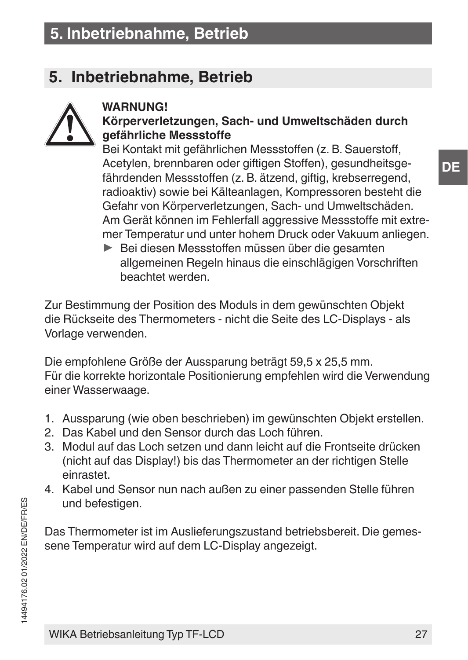## <span id="page-26-0"></span>**5. Inbetriebnahme, Betrieb**



#### **WARNUNG! Körperverletzungen, Sach- und Umweltschäden durch gefährliche Messstoffe**

Bei Kontakt mit gefährlichen Messstoffen (z. B. Sauerstoff, Acetylen, brennbaren oder giftigen Stoffen), gesundheitsgefährdenden Messstoffen (z. B. ätzend, giftig, krebserregend, radioaktiv) sowie bei Kälteanlagen, Kompressoren besteht die Gefahr von Körperverletzungen, Sach- und Umweltschäden. Am Gerät können im Fehlerfall aggressive Messstoffe mit extremer Temperatur und unter hohem Druck oder Vakuum anliegen.

▶ Bei diesen Messstoffen müssen über die gesamten allgemeinen Regeln hinaus die einschlägigen Vorschriften beachtet werden.

Zur Bestimmung der Position des Moduls in dem gewünschten Objekt die Rückseite des Thermometers - nicht die Seite des LC-Displays - als Vorlage verwenden.

Die empfohlene Größe der Aussparung beträgt 59,5 x 25,5 mm. Für die korrekte horizontale Positionierung empfehlen wird die Verwendung einer Wasserwaage.

- 1. Aussparung (wie oben beschrieben) im gewünschten Objekt erstellen.
- 2. Das Kabel und den Sensor durch das Loch führen.
- 3. Modul auf das Loch setzen und dann leicht auf die Frontseite drücken (nicht auf das Display!) bis das Thermometer an der richtigen Stelle einrastet.
- 4. Kabel und Sensor nun nach außen zu einer passenden Stelle führen und befestigen.

Das Thermometer ist im Auslieferungszustand betriebsbereit. Die gemessene Temperatur wird auf dem LC-Display angezeigt.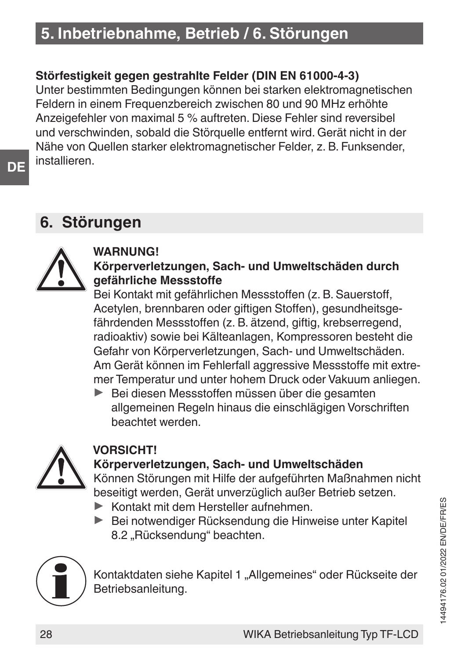## <span id="page-27-0"></span>**5. Inbetriebnahme, Betrieb / 6. Störungen**

#### **Störfestigkeit gegen gestrahlte Felder (DIN EN 61000-4-3)**

Unter bestimmten Bedingungen können bei starken elektromagnetischen Feldern in einem Frequenzbereich zwischen 80 und 90 MHz erhöhte Anzeigefehler von maximal 5 % auftreten. Diese Fehler sind reversibel und verschwinden, sobald die Störquelle entfernt wird. Gerät nicht in der Nähe von Quellen starker elektromagnetischer Felder, z. B. Funksender, installieren.

## **6. Störungen**

**WARNUNG!**



**DE**

#### **Körperverletzungen, Sach- und Umweltschäden durch gefährliche Messstoffe**

Bei Kontakt mit gefährlichen Messstoffen (z. B. Sauerstoff, Acetylen, brennbaren oder giftigen Stoffen), gesundheitsgefährdenden Messstoffen (z. B. ätzend, giftig, krebserregend, radioaktiv) sowie bei Kälteanlagen, Kompressoren besteht die Gefahr von Körperverletzungen, Sach- und Umweltschäden. Am Gerät können im Fehlerfall aggressive Messstoffe mit extremer Temperatur und unter hohem Druck oder Vakuum anliegen.

▶ Bei diesen Messstoffen müssen über die gesamten allgemeinen Regeln hinaus die einschlägigen Vorschriften beachtet werden.



### **VORSICHT!**

#### **Körperverletzungen, Sach- und Umweltschäden**

Können Störungen mit Hilfe der aufgeführten Maßnahmen nicht beseitigt werden, Gerät unverzüglich außer Betrieb setzen.

- ▶ Kontakt mit dem Hersteller aufnehmen.
- ▶ Bei notwendiger Rücksendung die Hinweise unter Kapitel [8.2 "Rücksendung"](#page-30-0) beachten.



Kontaktdaten siehe Kapitel 1 "Allgemeines" oder Rückseite der Betriebsanleitung.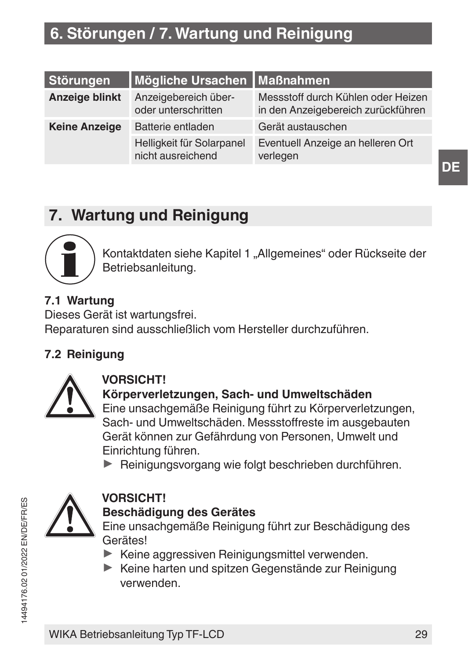## <span id="page-28-0"></span>**6. Störungen / 7. Wartung und Reinigung**

| <b>Störungen</b>     | Mögliche Ursachen   Maßnahmen                  |                                                                          |
|----------------------|------------------------------------------------|--------------------------------------------------------------------------|
| Anzeige blinkt       | Anzeigebereich über-<br>oder unterschritten    | Messstoff durch Kühlen oder Heizen<br>in den Anzeigebereich zurückführen |
| <b>Keine Anzeige</b> | Batterie entladen                              | Gerät austauschen                                                        |
|                      | Helligkeit für Solarpanel<br>nicht ausreichend | Eventuell Anzeige an helleren Ort<br>verlegen                            |

## **7. Wartung und Reinigung**



Kontaktdaten siehe Kapitel 1 "Allgemeines" oder Rückseite der Betriebsanleitung.

#### **7.1 Wartung**

Dieses Gerät ist wartungsfrei.

Reparaturen sind ausschließlich vom Hersteller durchzuführen.

#### **7.2 Reinigung**



#### <span id="page-28-1"></span>**VORSICHT!**

#### **Körperverletzungen, Sach- und Umweltschäden**

Eine unsachgemäße Reinigung führt zu Körperverletzungen, Sach- und Umweltschäden. Messstoffreste im ausgebauten Gerät können zur Gefährdung von Personen, Umwelt und Einrichtung führen.

▶ Reinigungsvorgang wie folgt beschrieben durchführen.



#### **VORSICHT!**

#### **Beschädigung des Gerätes**

Eine unsachgemäße Reinigung führt zur Beschädigung des **Gerätes!** 

- ▶ Keine aggressiven Reinigungsmittel verwenden.
- ▶ Keine harten und spitzen Gegenstände zur Reinigung verwenden.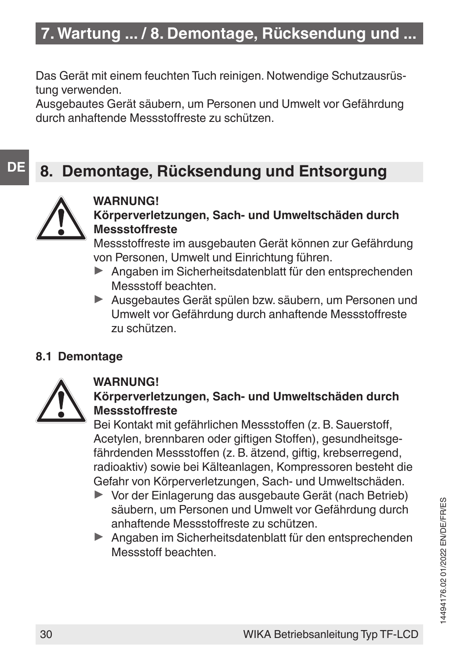## <span id="page-29-0"></span>**7. Wartung ... / 8. Demontage, Rücksendung und ...**

Das Gerät mit einem feuchten Tuch reinigen. Notwendige Schutzausrüstung verwenden.

Ausgebautes Gerät säubern, um Personen und Umwelt vor Gefährdung durch anhaftende Messstoffreste zu schützen.

#### **DE 8. Demontage, Rücksendung und Entsorgung**



#### **WARNUNG! Körperverletzungen, Sach- und Umweltschäden durch Messstoffreste**

Messstoffreste im ausgebauten Gerät können zur Gefährdung von Personen, Umwelt und Einrichtung führen.

- ▶ Angaben im Sicherheitsdatenblatt für den entsprechenden Messstoff beachten.
- ▶ Ausgebautes Gerät spülen bzw. säubern, um Personen und Umwelt vor Gefährdung durch anhaftende Messstoffreste zu schützen.

#### **8.1 Demontage**



#### **WARNUNG!**

#### **Körperverletzungen, Sach- und Umweltschäden durch Messstoffreste**

Bei Kontakt mit gefährlichen Messstoffen (z. B. Sauerstoff, Acetylen, brennbaren oder giftigen Stoffen), gesundheitsgefährdenden Messstoffen (z. B. ätzend, giftig, krebserregend, radioaktiv) sowie bei Kälteanlagen, Kompressoren besteht die Gefahr von Körperverletzungen, Sach- und Umweltschäden.

- ▶ Vor der Einlagerung das ausgebaute Gerät (nach Betrieb) säubern, um Personen und Umwelt vor Gefährdung durch anhaftende Messstoffreste zu schützen.
- ▶ Angaben im Sicherheitsdatenblatt für den entsprechenden Messstoff beachten.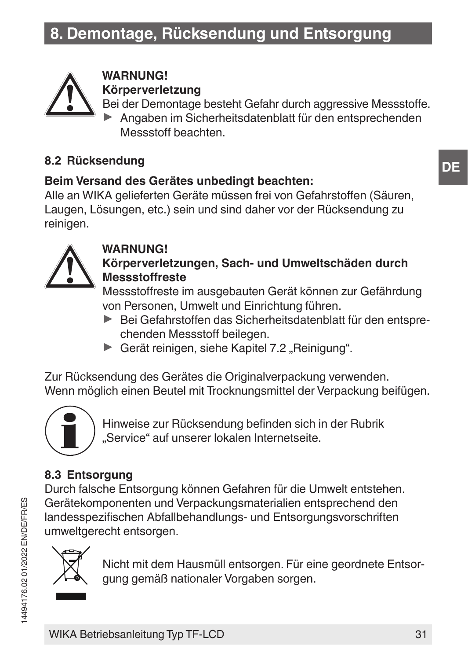

#### **WARNUNG! Körperverletzung**

Bei der Demontage besteht Gefahr durch aggressive Messstoffe. Angaben im Sicherheitsdatenblatt für den entsprechenden Messstoff beachten.

#### <span id="page-30-0"></span>**8.2 Rücksendung**

#### **Beim Versand des Gerätes unbedingt beachten:**

Alle an WIKA gelieferten Geräte müssen frei von Gefahrstoffen (Säuren, Laugen, Lösungen, etc.) sein und sind daher vor der Rücksendung zu reinigen.



#### **WARNUNG!**

**Körperverletzungen, Sach- und Umweltschäden durch Messstoffreste**

Messstoffreste im ausgebauten Gerät können zur Gefährdung von Personen, Umwelt und Einrichtung führen.

- ▶ Bei Gefahrstoffen das Sicherheitsdatenblatt für den entsprechenden Messstoff beilegen.
- ▶ Gerät reinigen, siehe Kapitel [7.2 "Reinigung"](#page-28-1).

Zur Rücksendung des Gerätes die Originalverpackung verwenden. Wenn möglich einen Beutel mit Trocknungsmittel der Verpackung beifügen.



Hinweise zur Rücksendung befinden sich in der Rubrik "Service" auf unserer lokalen Internetseite.

#### **8.3 Entsorgung**

Durch falsche Entsorgung können Gefahren für die Umwelt entstehen. Gerätekomponenten und Verpackungsmaterialien entsprechend den landesspezifischen Abfallbehandlungs- und Entsorgungsvorschriften umweltgerecht entsorgen.



Nicht mit dem Hausmüll entsorgen. Für eine geordnete Entsorgung gemäß nationaler Vorgaben sorgen.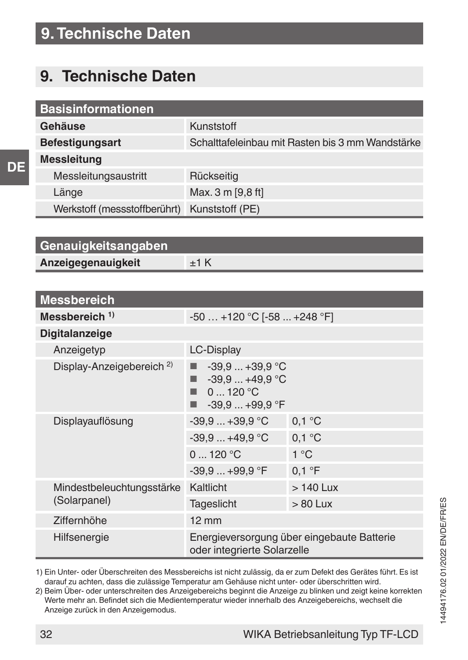## <span id="page-31-0"></span>**9. Technische Daten**

## **9. Technische Daten**

| <b>Basisinformationen</b>    |                                                  |
|------------------------------|--------------------------------------------------|
| Gehäuse                      | Kunststoff                                       |
| <b>Befestigungsart</b>       | Schalttafeleinbau mit Rasten bis 3 mm Wandstärke |
| <b>Messleitung</b>           |                                                  |
| Messleitungsaustritt         | Rückseitig                                       |
| Länge                        | Max. 3 m [9,8 ft]                                |
| Werkstoff (messstoffberührt) | Kunststoff (PE)                                  |

| Genauigkeitsangaben |      |
|---------------------|------|
| Anzeigegenauigkeit  | ±1 K |

| <b>Messbereich</b>                   |                                                                                                                 |               |  |
|--------------------------------------|-----------------------------------------------------------------------------------------------------------------|---------------|--|
| Messbereich <sup>1)</sup>            | $-50+120 °C$ [ $-58+248 °F$ ]                                                                                   |               |  |
| <b>Digitalanzeige</b>                |                                                                                                                 |               |  |
| Anzeigetyp                           | <b>LC-Display</b>                                                                                               |               |  |
| Display-Anzeigebereich <sup>2)</sup> | -39.9  +39.9 °C<br>$\blacksquare$ -39,9  +49,9 °C<br>$\blacksquare$ 0  120 °C<br>$\blacksquare$ -39,9  +99,9 °F |               |  |
| Displayauflösung                     | $-39.9+39.9$ °C                                                                                                 | 0.1 °C        |  |
|                                      | $-39.9+49.9 °C$                                                                                                 | 0.1 °C        |  |
|                                      | 0120 °C                                                                                                         | $1^{\circ}$ C |  |
|                                      | $-39.9+99.9$ °F                                                                                                 | 0.1 °F        |  |
| Mindestbeleuchtungsstärke            | Kaltlicht                                                                                                       | $>140$ Lux    |  |
| (Solarpanel)                         | <b>Tageslicht</b>                                                                                               | $> 80$ Lux    |  |
| Ziffernhöhe                          | $12 \text{ mm}$                                                                                                 |               |  |
| Hilfsenergie                         | Energieversorgung über eingebaute Batterie<br>oder integrierte Solarzelle                                       |               |  |

1) Ein Unter- oder Überschreiten des Messbereichs ist nicht zulässig, da er zum Defekt des Gerätes führt. Es ist darauf zu achten, dass die zulässige Temperatur am Gehäuse nicht unter- oder überschritten wird.

2) Beim Über- oder unterschreiten des Anzeigebereichs beginnt die Anzeige zu blinken und zeigt keine korrekten Werte mehr an. Befindet sich die Medientemperatur wieder innerhalb des Anzeigebereichs, wechselt die Anzeige zurück in den Anzeigemodus.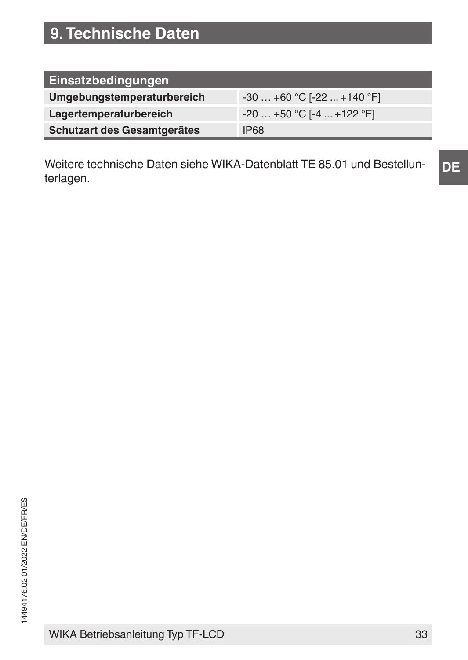## **9. Technische Daten**

| Einsatzbedingungen                 |                              |
|------------------------------------|------------------------------|
| Umgebungstemperaturbereich         | $-30+60 °C$ [ $-22+140 °F$ ] |
| Lagertemperaturbereich             | $-20+50 °C$ [-4  +122 °F]    |
| <b>Schutzart des Gesamtgerätes</b> | <b>IP68</b>                  |

Weitere technische Daten siehe WIKA-Datenblatt TE 85.01 und Bestellunterlagen.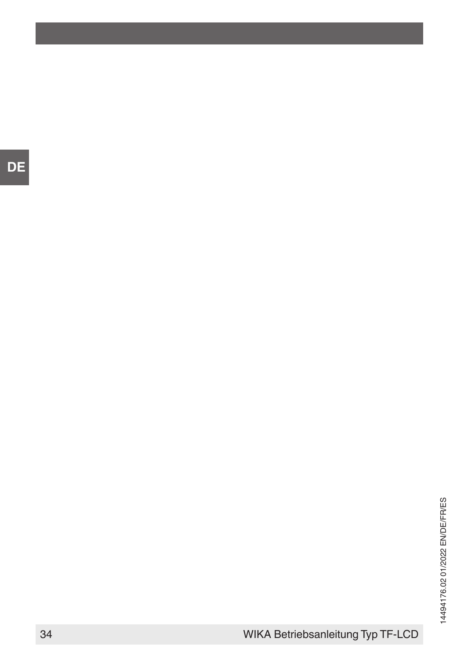**DE**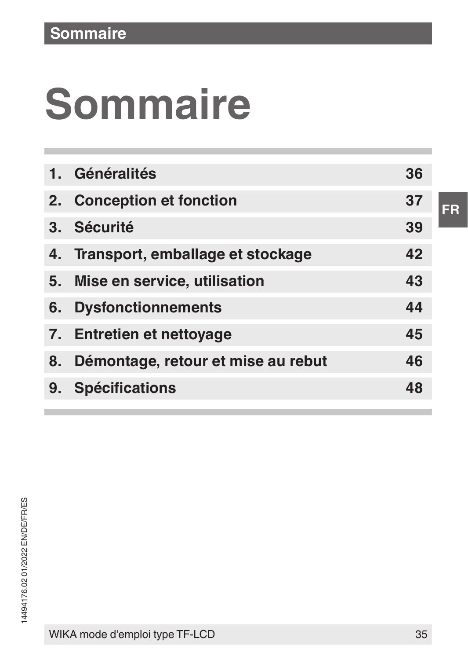# **Sommaire**

|    | 1. Généralités                      | 36 |
|----|-------------------------------------|----|
|    | 2. Conception et fonction           | 37 |
|    | 3. Sécurité                         | 39 |
|    | 4. Transport, emballage et stockage | 42 |
|    | 5. Mise en service, utilisation     | 43 |
|    | 6. Dysfonctionnements               | 44 |
|    | 7. Entretien et nettoyage           | 45 |
| 8. | Démontage, retour et mise au rebut  | 46 |
| 9. | <b>Spécifications</b>               | 48 |
|    |                                     |    |

**FR**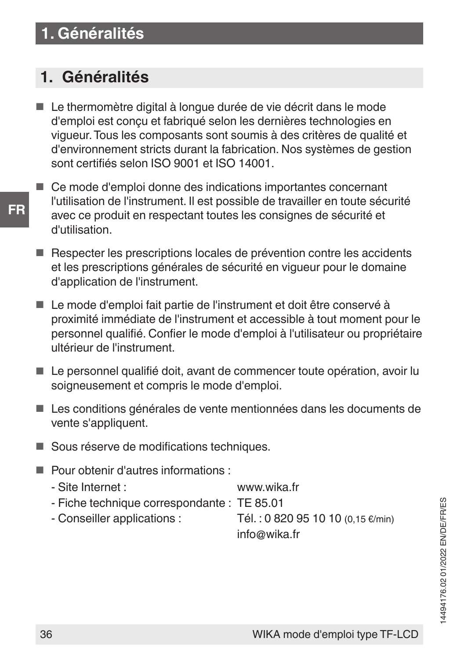## <span id="page-35-0"></span>**1. Généralités**

## **1. Généralités**

- Le thermomètre digital à longue durée de vie décrit dans le mode d'emploi est conçu et fabriqué selon les dernières technologies en vigueur. Tous les composants sont soumis à des critères de qualité et d'environnement stricts durant la fabrication. Nos systèmes de gestion sont certifiés selon ISO 9001 et ISO 14001.
- **FR**
	- Ce mode d'emploi donne des indications importantes concernant l'utilisation de l'instrument. Il est possible de travailler en toute sécurité avec ce produit en respectant toutes les consignes de sécurité et d'utilisation.
	- Respecter les prescriptions locales de prévention contre les accidents et les prescriptions générales de sécurité en vigueur pour le domaine d'application de l'instrument.
	- Le mode d'emploi fait partie de l'instrument et doit être conservé à proximité immédiate de l'instrument et accessible à tout moment pour le personnel qualifié. Confier le mode d'emploi à l'utilisateur ou propriétaire ultérieur de l'instrument.
	- Le personnel qualifié doit, avant de commencer toute opération, avoir lu soigneusement et compris le mode d'emploi.
	- Les conditions générales de vente mentionnées dans les documents de vente s'appliquent.
	- Sous réserve de modifications techniques.
	- Pour obtenir d'autres informations :

| - Site Internet :                           | www.wika.fr                       |
|---------------------------------------------|-----------------------------------|
| - Fiche technique correspondante : TE 85.01 |                                   |
| - Conseiller applications :                 | Tél.: 0 820 95 10 10 (0,15 €/min) |
|                                             | info@wika.fr                      |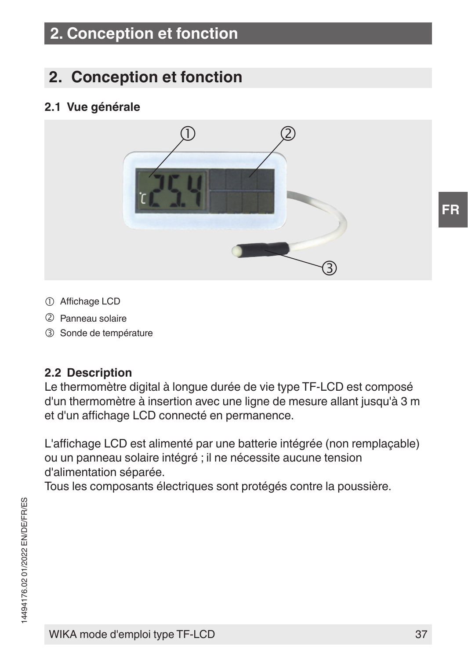## <span id="page-36-0"></span>**2. Conception et fonction**

## **2. Conception et fonction**

#### **2.1 Vue générale**



- Affichage LCD
- Panneau solaire
- Sonde de température

#### **2.2 Description**

Le thermomètre digital à longue durée de vie type TF-LCD est composé d'un thermomètre à insertion avec une ligne de mesure allant jusqu'à 3 m et d'un affichage LCD connecté en permanence.

L'affichage LCD est alimenté par une batterie intégrée (non remplaçable) ou un panneau solaire intégré ; il ne nécessite aucune tension d'alimentation séparée.

Tous les composants électriques sont protégés contre la poussière.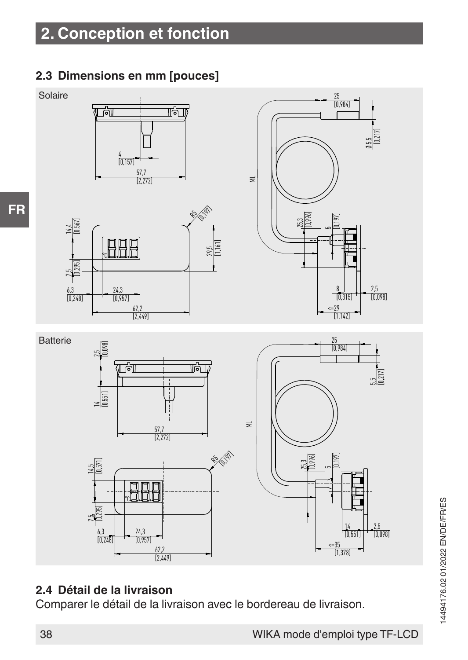## **2. Conception et fonction**

#### **2.3 Dimensions en mm [pouces]**









**2.4 Détail de la livraison**

**FR**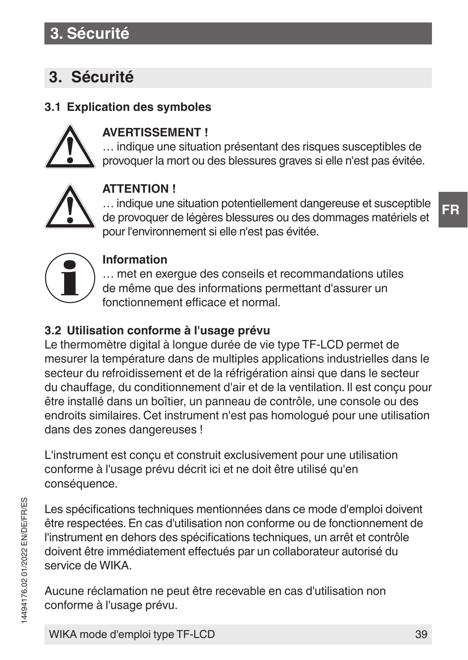## <span id="page-38-0"></span>**3. Sécurité**

## **3. Sécurité**

#### **3.1 Explication des symboles**



#### **AVERTISSEMENT !**

… indique une situation présentant des risques susceptibles de provoquer la mort ou des blessures graves si elle n'est pas évitée.



#### **ATTENTION !**

… indique une situation potentiellement dangereuse et susceptible de provoquer de légères blessures ou des dommages matériels et pour l'environnement si elle n'est pas évitée.



#### **Information**

… met en exergue des conseils et recommandations utiles de même que des informations permettant d'assurer un fonctionnement efficace et normal.

#### **3.2 Utilisation conforme à l'usage prévu**

Le thermomètre digital à longue durée de vie type TF-LCD permet de mesurer la température dans de multiples applications industrielles dans le secteur du refroidissement et de la réfrigération ainsi que dans le secteur du chauffage, du conditionnement d'air et de la ventilation. Il est conçu pour être installé dans un boîtier, un panneau de contrôle, une console ou des endroits similaires. Cet instrument n'est pas homologué pour une utilisation dans des zones dangereuses !

L'instrument est conçu et construit exclusivement pour une utilisation conforme à l'usage prévu décrit ici et ne doit être utilisé qu'en conséquence.

Les spécifications techniques mentionnées dans ce mode d'emploi doivent être respectées. En cas d'utilisation non conforme ou de fonctionnement de l'instrument en dehors des spécifications techniques, un arrêt et contrôle doivent être immédiatement effectués par un collaborateur autorisé du service de WIKA.

Aucune réclamation ne peut être recevable en cas d'utilisation non conforme à l'usage prévu.

**FR**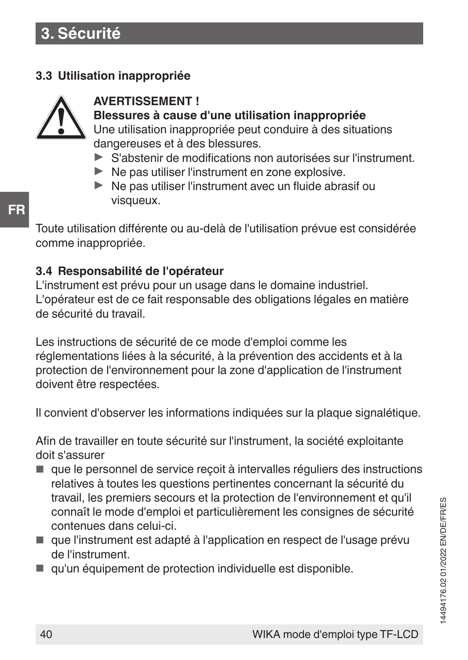## **3. Sécurité**

#### **3.3 Utilisation inappropriée**



#### **AVERTISSEMENT !**

**Blessures à cause d'une utilisation inappropriée** Une utilisation inappropriée peut conduire à des situations dangereuses et à des blessures.

- ▶ S'abstenir de modifications non autorisées sur l'instrument.
- ▶ Ne pas utiliser l'instrument en zone explosive.
- ▶ Ne pas utiliser l'instrument avec un fluide abrasif ou visqueux.

Toute utilisation différente ou au-delà de l'utilisation prévue est considérée comme inappropriée.

#### **3.4 Responsabilité de l'opérateur**

L'instrument est prévu pour un usage dans le domaine industriel. L'opérateur est de ce fait responsable des obligations légales en matière de sécurité du travail.

Les instructions de sécurité de ce mode d'emploi comme les réglementations liées à la sécurité, à la prévention des accidents et à la protection de l'environnement pour la zone d'application de l'instrument doivent être respectées.

Il convient d'observer les informations indiquées sur la plaque signalétique.

Afin de travailler en toute sécurité sur l'instrument, la société exploitante doit s'assurer

- que le personnel de service reçoit à intervalles réguliers des instructions relatives à toutes les questions pertinentes concernant la sécurité du travail, les premiers secours et la protection de l'environnement et qu'il connaît le mode d'emploi et particulièrement les consignes de sécurité contenues dans celui-ci.
- que l'instrument est adapté à l'application en respect de l'usage prévu de l'instrument.
- qu'un équipement de protection individuelle est disponible.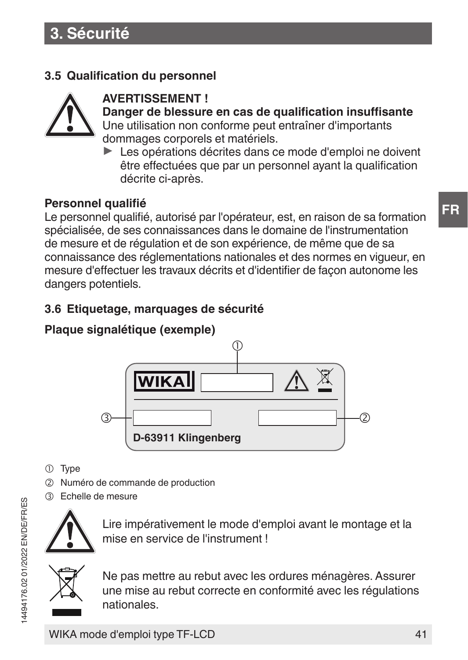#### **3.5 Qualification du personnel**



#### **AVERTISSEMENT !**

**Danger de blessure en cas de qualification insuffisante**

Une utilisation non conforme peut entraîner d'importants dommages corporels et matériels.

▶ Les opérations décrites dans ce mode d'emploi ne doivent être effectuées que par un personnel ayant la qualification décrite ci-après.

#### **Personnel qualifié**

Le personnel qualifié, autorisé par l'opérateur, est, en raison de sa formation spécialisée, de ses connaissances dans le domaine de l'instrumentation de mesure et de régulation et de son expérience, de même que de sa connaissance des réglementations nationales et des normes en vigueur, en mesure d'effectuer les travaux décrits et d'identifier de façon autonome les dangers potentiels.

#### **3.6 Etiquetage, marquages de sécurité**

#### **Plaque signalétique (exemple)**



- Type
- Numéro de commande de production
- Echelle de mesure



Lire impérativement le mode d'emploi avant le montage et la mise en service de l'instrument !



Ne pas mettre au rebut avec les ordures ménagères. Assurer une mise au rebut correcte en conformité avec les régulations nationales.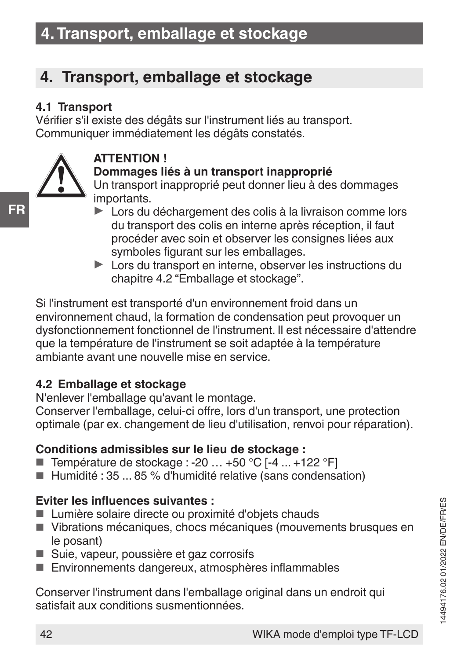## <span id="page-41-0"></span>**4. Transport, emballage et stockage**

#### **4.1 Transport**

Vérifier s'il existe des dégâts sur l'instrument liés au transport. Communiquer immédiatement les dégâts constatés.



#### **ATTENTION !**

#### **Dommages liés à un transport inapproprié**

Un transport inapproprié peut donner lieu à des dommages importants.

- **FR**
- ▶ Lors du déchargement des colis à la livraison comme lors du transport des colis en interne après réception, il faut procéder avec soin et observer les consignes liées aux symboles figurant sur les emballages.
- ▶ Lors du transport en interne, observer les instructions du chapitre [4.2 "Emballage et stockage"](#page-41-1).

Si l'instrument est transporté d'un environnement froid dans un environnement chaud, la formation de condensation peut provoquer un dysfonctionnement fonctionnel de l'instrument. Il est nécessaire d'attendre que la température de l'instrument se soit adaptée à la température ambiante avant une nouvelle mise en service.

#### <span id="page-41-1"></span>**4.2 Emballage et stockage**

N'enlever l'emballage qu'avant le montage.

Conserver l'emballage, celui-ci offre, lors d'un transport, une protection optimale (par ex. changement de lieu d'utilisation, renvoi pour réparation).

#### **Conditions admissibles sur le lieu de stockage :**

- Température de stockage : -20 ... +50 °C [-4 ... +122 °F]
- Humidité : 35 ... 85 % d'humidité relative (sans condensation)

#### **Eviter les influences suivantes :**

- Lumière solaire directe ou proximité d'objets chauds
- Vibrations mécaniques, chocs mécaniques (mouvements brusques en le posant)
- Suie, vapeur, poussière et gaz corrosifs
- Environnements dangereux, atmosphères inflammables

Conserver l'instrument dans l'emballage original dans un endroit qui satisfait aux conditions susmentionnées.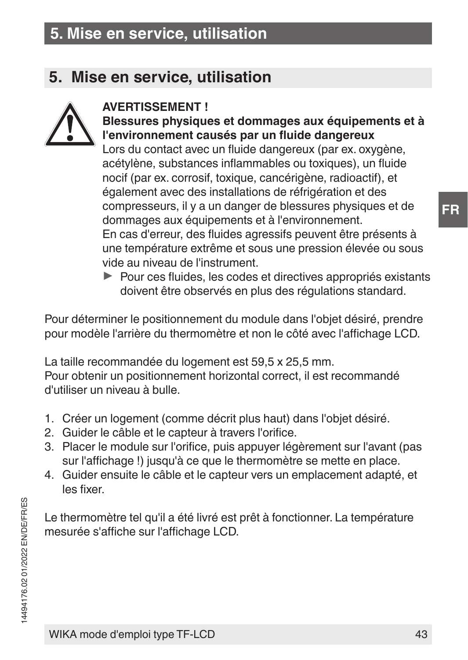## <span id="page-42-0"></span>**5. Mise en service, utilisation**

## **5. Mise en service, utilisation**



#### **AVERTISSEMENT ! Blessures physiques et dommages aux équipements et à l'environnement causés par un fluide dangereux**

Lors du contact avec un fluide dangereux (par ex. oxygène, acétylène, substances inflammables ou toxiques), un fluide nocif (par ex. corrosif, toxique, cancérigène, radioactif), et également avec des installations de réfrigération et des compresseurs, il y a un danger de blessures physiques et de dommages aux équipements et à l'environnement. En cas d'erreur, des fluides agressifs peuvent être présents à une température extrême et sous une pression élevée ou sous vide au niveau de l'instrument.

▶ Pour ces fluides, les codes et directives appropriés existants doivent être observés en plus des régulations standard.

Pour déterminer le positionnement du module dans l'objet désiré, prendre pour modèle l'arrière du thermomètre et non le côté avec l'affichage LCD.

La taille recommandée du logement est 59,5 x 25,5 mm. Pour obtenir un positionnement horizontal correct, il est recommandé d'utiliser un niveau à bulle.

- 1. Créer un logement (comme décrit plus haut) dans l'objet désiré.
- 2. Guider le câble et le capteur à travers l'orifice.
- 3. Placer le module sur l'orifice, puis appuyer légèrement sur l'avant (pas sur l'affichage !) jusqu'à ce que le thermomètre se mette en place.
- 4. Guider ensuite le câble et le capteur vers un emplacement adapté, et les fixer.

Le thermomètre tel qu'il a été livré est prêt à fonctionner. La température mesurée s'affiche sur l'affichage LCD.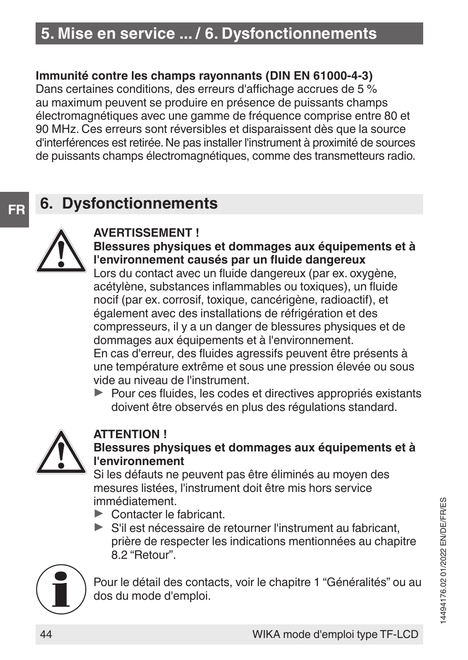## <span id="page-43-0"></span>**5. Mise en service ... / 6. Dysfonctionnements**

#### **Immunité contre les champs rayonnants (DIN EN 61000-4-3)**

Dans certaines conditions, des erreurs d'affichage accrues de 5 % au maximum peuvent se produire en présence de puissants champs électromagnétiques avec une gamme de fréquence comprise entre 80 et 90 MHz. Ces erreurs sont réversibles et disparaissent dès que la source d'interférences est retirée. Ne pas installer l'instrument à proximité de sources de puissants champs électromagnétiques, comme des transmetteurs radio.

## **6. Dysfonctionnements**



**FR**

#### **AVERTISSEMENT ! Blessures physiques et dommages aux équipements et à l'environnement causés par un fluide dangereux**

Lors du contact avec un fluide dangereux (par ex. oxygène, acétylène, substances inflammables ou toxiques), un fluide nocif (par ex. corrosif, toxique, cancérigène, radioactif), et également avec des installations de réfrigération et des compresseurs, il y a un danger de blessures physiques et de dommages aux équipements et à l'environnement. En cas d'erreur, des fluides agressifs peuvent être présents à une température extrême et sous une pression élevée ou sous vide au niveau de l'instrument.

▶ Pour ces fluides, les codes et directives appropriés existants doivent être observés en plus des régulations standard.



#### **ATTENTION ! Blessures physiques et dommages aux équipements et à l'environnement**

Si les défauts ne peuvent pas être éliminés au moyen des mesures listées, l'instrument doit être mis hors service immédiatement.

- ▶ Contacter le fabricant.
- ▶ S'il est nécessaire de retourner l'instrument au fabricant, prière de respecter les indications mentionnées au chapitre [8.2 "Retour"](#page-46-0).



Pour le détail des contacts, voir le chapitre 1 "Généralités" ou au dos du mode d'emploi.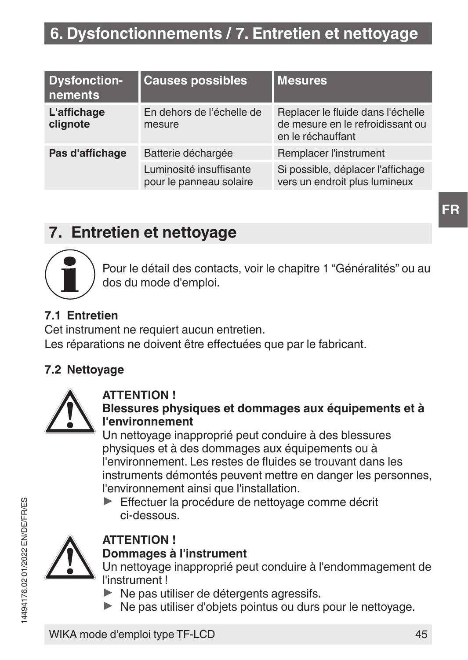## <span id="page-44-0"></span>**6. Dysfonctionnements / 7. Entretien et nettoyage**

| <b>Dysfonction-</b><br>nements | <b>Causes possibles</b>                            | <b>Mesures</b>                                                                             |
|--------------------------------|----------------------------------------------------|--------------------------------------------------------------------------------------------|
| L'affichage<br>clignote        | En dehors de l'échelle de<br>mesure                | Replacer le fluide dans l'échelle<br>de mesure en le refroidissant ou<br>en le réchauffant |
| Pas d'affichage                | Batterie déchargée                                 | Remplacer l'instrument                                                                     |
|                                | Luminosité insuffisante<br>pour le panneau solaire | Si possible, déplacer l'affichage<br>vers un endroit plus lumineux                         |

## **7. Entretien et nettoyage**



Pour le détail des contacts, voir le chapitre 1 "Généralités" ou au dos du mode d'emploi.

#### **7.1 Entretien**

Cet instrument ne requiert aucun entretien.

Les réparations ne doivent être effectuées que par le fabricant.

#### **7.2 Nettoyage**



#### <span id="page-44-1"></span>**ATTENTION ! Blessures physiques et dommages aux équipements et à l'environnement**

Un nettoyage inapproprié peut conduire à des blessures physiques et à des dommages aux équipements ou à l'environnement. Les restes de fluides se trouvant dans les instruments démontés peuvent mettre en danger les personnes, l'environnement ainsi que l'installation.

▶ Effectuer la procédure de nettoyage comme décrit ci-dessous.



#### **ATTENTION ! Dommages à l'instrument**

Un nettoyage inapproprié peut conduire à l'endommagement de l'instrument !

- $\blacktriangleright$  Ne pas utiliser de détergents agressifs.
- $\blacktriangleright$  Ne pas utiliser d'objets pointus ou durs pour le nettoyage.

**FR**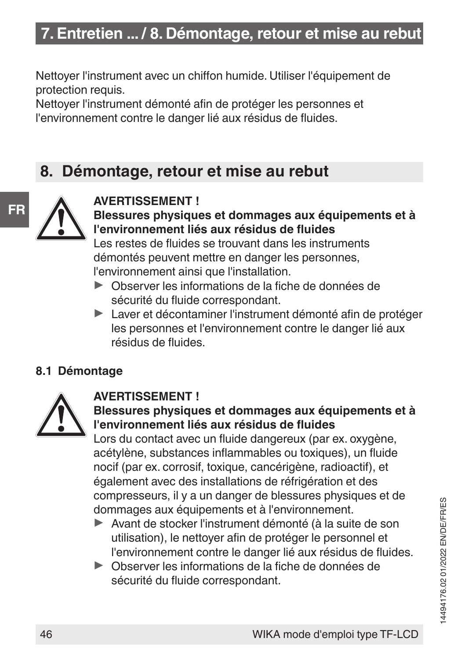## <span id="page-45-0"></span>**7. Entretien ... / 8. Démontage, retour et mise au rebut**

Nettoyer l'instrument avec un chiffon humide. Utiliser l'équipement de protection requis.

Nettoyer l'instrument démonté afin de protéger les personnes et l'environnement contre le danger lié aux résidus de fluides.

## **8. Démontage, retour et mise au rebut**



#### **AVERTISSEMENT !**

**Blessures physiques et dommages aux équipements et à l'environnement liés aux résidus de fluides** Les restes de fluides se trouvant dans les instruments démontés peuvent mettre en danger les personnes,

l'environnement ainsi que l'installation.

- ▶ Observer les informations de la fiche de données de sécurité du fluide correspondant.
- ▶ Laver et décontaminer l'instrument démonté afin de protéger les personnes et l'environnement contre le danger lié aux résidus de fluides.

#### **8.1 Démontage**



#### **AVERTISSEMENT !**

#### **Blessures physiques et dommages aux équipements et à l'environnement liés aux résidus de fluides**

Lors du contact avec un fluide dangereux (par ex. oxygène, acétylène, substances inflammables ou toxiques), un fluide nocif (par ex. corrosif, toxique, cancérigène, radioactif), et également avec des installations de réfrigération et des compresseurs, il y a un danger de blessures physiques et de dommages aux équipements et à l'environnement.

- ▶ Avant de stocker l'instrument démonté (à la suite de son utilisation), le nettoyer afin de protéger le personnel et l'environnement contre le danger lié aux résidus de fluides.
- ▶ Observer les informations de la fiche de données de sécurité du fluide correspondant.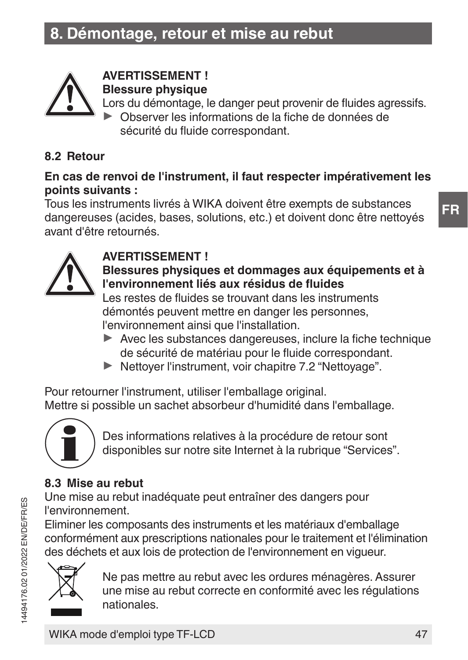

#### **AVERTISSEMENT ! Blessure physique**

Lors du démontage, le danger peut provenir de fluides agressifs.

<span id="page-46-0"></span>▶ Observer les informations de la fiche de données de sécurité du fluide correspondant.

#### **8.2 Retour**

#### **En cas de renvoi de l'instrument, il faut respecter impérativement les points suivants :**

Tous les instruments livrés à WIKA doivent être exempts de substances dangereuses (acides, bases, solutions, etc.) et doivent donc être nettoyés avant d'être retournés.



#### **AVERTISSEMENT !**

#### **Blessures physiques et dommages aux équipements et à l'environnement liés aux résidus de fluides**

Les restes de fluides se trouvant dans les instruments démontés peuvent mettre en danger les personnes, l'environnement ainsi que l'installation.

- $\blacktriangleright$  Avec les substances dangereuses, inclure la fiche technique de sécurité de matériau pour le fluide correspondant.
- ▶ Nettoyer l'instrument, voir chapitre [7.2 "Nettoyage"](#page-44-1).

Pour retourner l'instrument, utiliser l'emballage original. Mettre si possible un sachet absorbeur d'humidité dans l'emballage.



Des informations relatives à la procédure de retour sont disponibles sur notre site Internet à la rubrique "Services".

#### **8.3 Mise au rebut**

Une mise au rebut inadéquate peut entraîner des dangers pour l'environnement.

Eliminer les composants des instruments et les matériaux d'emballage conformément aux prescriptions nationales pour le traitement et l'élimination des déchets et aux lois de protection de l'environnement en vigueur.



Ne pas mettre au rebut avec les ordures ménagères. Assurer une mise au rebut correcte en conformité avec les régulations nationales.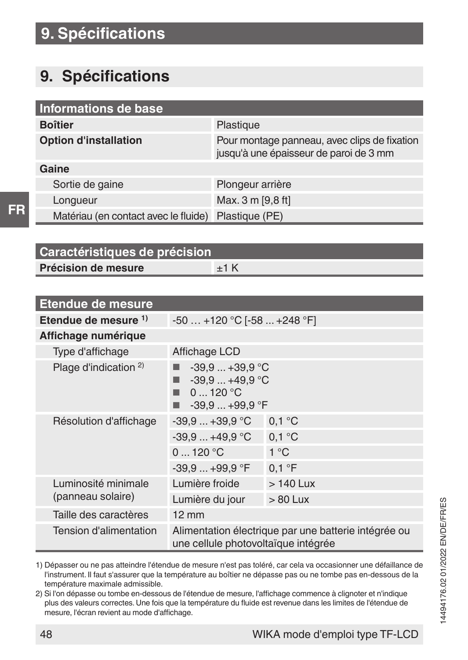## <span id="page-47-0"></span>**9. Spécifications**

## **9. Spécifications**

| Informations de base                 |                                                                                        |
|--------------------------------------|----------------------------------------------------------------------------------------|
| <b>Boîtier</b>                       | Plastique                                                                              |
| Option d'installation                | Pour montage panneau, avec clips de fixation<br>jusqu'à une épaisseur de paroi de 3 mm |
| Gaine                                |                                                                                        |
| Sortie de gaine                      | Plongeur arrière                                                                       |
| Longueur                             | Max. 3 m [9,8 ft]                                                                      |
| Matériau (en contact avec le fluide) | Plastique (PE)                                                                         |

|         |  |  |  | Caractéristiques de précision |  |
|---------|--|--|--|-------------------------------|--|
| _ _ _ _ |  |  |  |                               |  |

**Précision de mesure** ±1 K

| <b>Etendue de mesure</b>         |                                                                                             |               |  |  |
|----------------------------------|---------------------------------------------------------------------------------------------|---------------|--|--|
| Etendue de mesure 1)             | $-50+120$ °C [ $-58+248$ °F]                                                                |               |  |  |
| Affichage numérique              |                                                                                             |               |  |  |
| Type d'affichage                 | Affichage LCD                                                                               |               |  |  |
| Plage d'indication <sup>2)</sup> | $-39.9+39.9$ °C<br>$-39.9+49.9$ °C<br>$\blacksquare$ 0  120 °C<br>-39,9  +99,9 °F           |               |  |  |
| Résolution d'affichage           | $-39.9+39.9$ °C                                                                             | 0.1 °C        |  |  |
|                                  | $-39.9+49.9$ °C                                                                             | 0.1 °C        |  |  |
|                                  | $0 \dots 120 °C$                                                                            | $1^{\circ}$ C |  |  |
|                                  | $-39.9+99.9$ °F                                                                             | 0.1 °F        |  |  |
| Luminosité minimale              | Lumière froide                                                                              | $>140$ Lux    |  |  |
| (panneau solaire)                | Lumière du jour                                                                             | $>80$ Lux     |  |  |
| Taille des caractères            | $12 \text{ mm}$                                                                             |               |  |  |
| Tension d'alimentation           | Alimentation électrique par une batterie intégrée ou<br>une cellule photovoltaïque intégrée |               |  |  |

1) Dépasser ou ne pas atteindre l'étendue de mesure n'est pas toléré, car cela va occasionner une défaillance de l'instrument. Il faut s'assurer que la température au boîtier ne dépasse pas ou ne tombe pas en-dessous de la température maximale admissible.

2) Si l'on dépasse ou tombe en-dessous de l'étendue de mesure, l'affichage commence à clignoter et n'indique plus des valeurs correctes. Une fois que la température du fluide est revenue dans les limites de l'étendue de mesure, l'écran revient au mode d'affichage.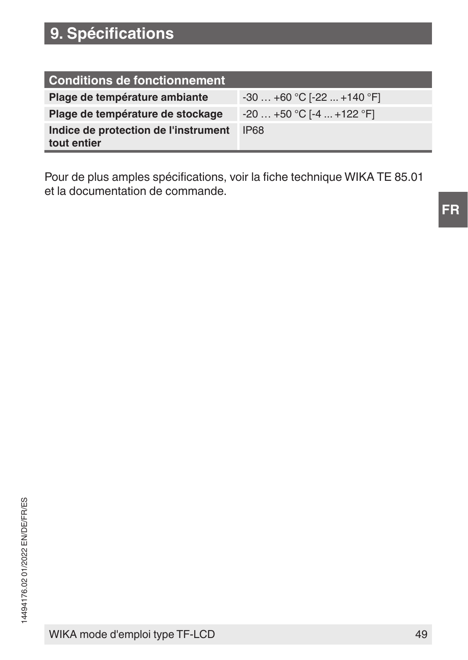## **9. Spécifications**

| <b>Conditions de fonctionnement</b>                 |                            |
|-----------------------------------------------------|----------------------------|
| Plage de température ambiante                       | $-30+60$ °C [-22  +140 °F] |
| Plage de température de stockage                    | $-20+50$ °C [-4  +122 °F]  |
| Indice de protection de l'instrument<br>tout entier | <b>IP68</b>                |

Pour de plus amples spécifications, voir la fiche technique WIKA TE 85.01 et la documentation de commande.

**FR**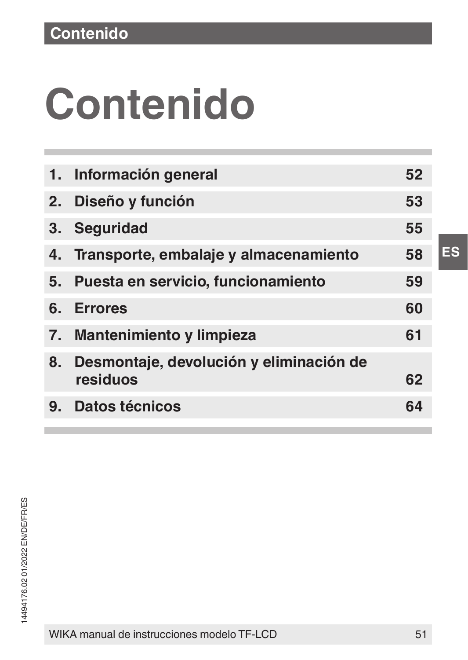# **Contenido**

|    | 1. Información general                  | 52 |
|----|-----------------------------------------|----|
|    | 2. Diseño y función                     | 53 |
|    | 3. Seguridad                            | 55 |
| 4. | Transporte, embalaje y almacenamiento   | 58 |
|    | 5. Puesta en servicio, funcionamiento   | 59 |
|    | 6. Errores                              | 60 |
|    | 7. Mantenimiento y limpieza             | 61 |
| 8. | Desmontaje, devolución y eliminación de |    |
|    | residuos                                | 62 |
|    | 9. Datos técnicos                       | 64 |

**ES**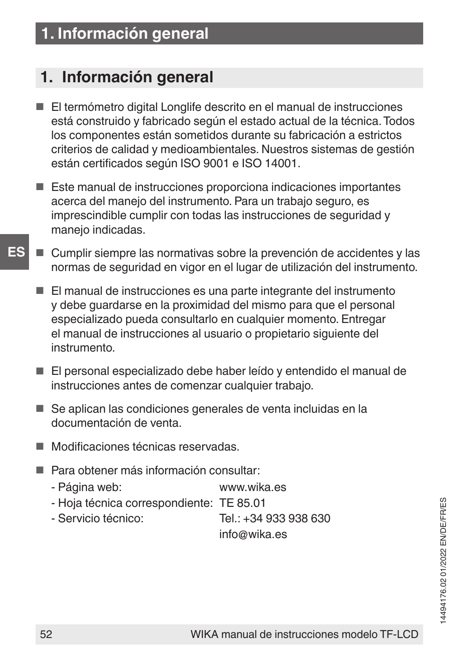## <span id="page-51-0"></span>**1. Información general**

## **1. Información general**

- El termómetro digital Longlife descrito en el manual de instrucciones está construido y fabricado según el estado actual de la técnica. Todos los componentes están sometidos durante su fabricación a estrictos criterios de calidad y medioambientales. Nuestros sistemas de gestión están certificados según ISO 9001 e ISO 14001.
- Este manual de instrucciones proporciona indicaciones importantes acerca del manejo del instrumento. Para un trabajo seguro, es imprescindible cumplir con todas las instrucciones de seguridad y manejo indicadas.
- **ES** Cumplir siempre las normativas sobre la prevención de accidentes y las normas de seguridad en vigor en el lugar de utilización del instrumento.
	- El manual de instrucciones es una parte integrante del instrumento y debe guardarse en la proximidad del mismo para que el personal especializado pueda consultarlo en cualquier momento. Entregar el manual de instrucciones al usuario o propietario siguiente del instrumento.
	- El personal especializado debe haber leído y entendido el manual de instrucciones antes de comenzar cualquier trabajo.
	- Se aplican las condiciones generales de venta incluidas en la documentación de venta.
	- Modificaciones técnicas reservadas.
	- Para obtener más información consultar:
		- Página web: www.wika.es - Hoja técnica correspondiente: TE 85.01<br>- Servicio técnico: Tel : +34 - Servicio técnico: Tel.: +34 933 938 630 info@wika.es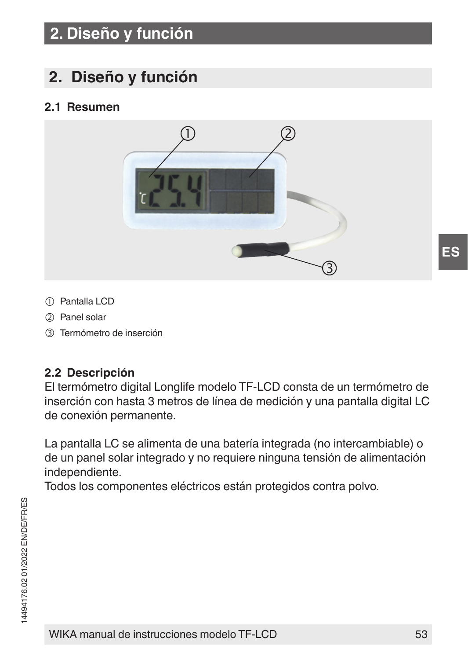## <span id="page-52-0"></span>**2. Diseño y función**

## **2. Diseño y función**

#### **2.1 Resumen**



- Pantalla LCD
- (2) Panel solar
- Termómetro de inserción

#### **2.2 Descripción**

El termómetro digital Longlife modelo TF-LCD consta de un termómetro de inserción con hasta 3 metros de línea de medición y una pantalla digital LC de conexión permanente.

La pantalla LC se alimenta de una batería integrada (no intercambiable) o de un panel solar integrado y no requiere ninguna tensión de alimentación independiente.

Todos los componentes eléctricos están protegidos contra polvo.

**ES**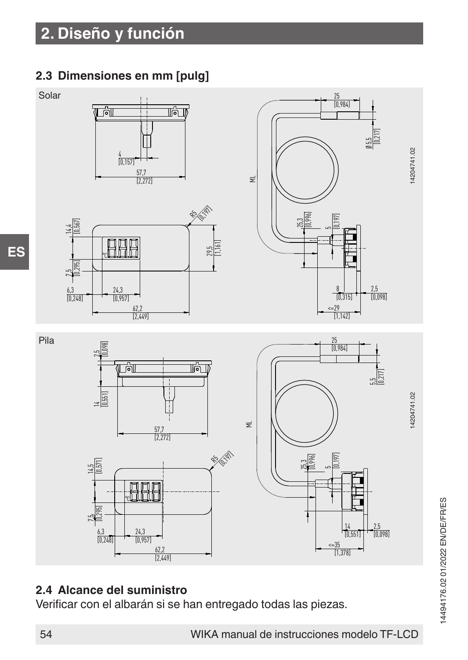## **2. Diseño y función**

#### **2.3 Dimensiones en mm [pulg]**



**2.4 Alcance del suministro**

**ES**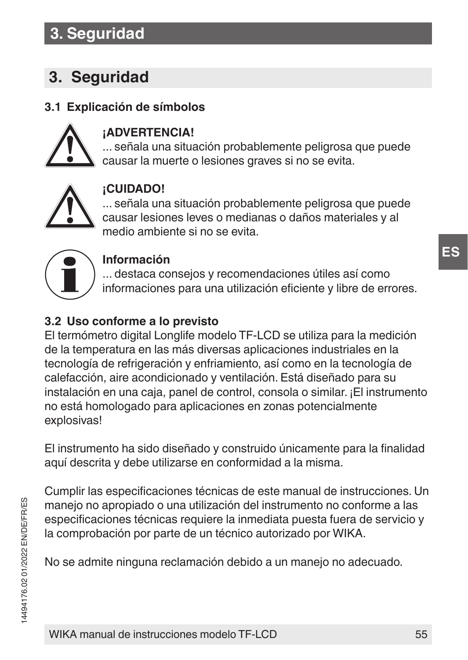## <span id="page-54-0"></span>**3. Seguridad**

## **3. Seguridad**

#### **3.1 Explicación de símbolos**



#### **¡ADVERTENCIA!**

... señala una situación probablemente peligrosa que puede causar la muerte o lesiones graves si no se evita.



#### **¡CUIDADO!**

... señala una situación probablemente peligrosa que puede causar lesiones leves o medianas o daños materiales y al medio ambiente si no se evita.



#### **Información**

... destaca consejos y recomendaciones útiles así como informaciones para una utilización eficiente y libre de errores.

#### **3.2 Uso conforme a lo previsto**

El termómetro digital Longlife modelo TF-LCD se utiliza para la medición de la temperatura en las más diversas aplicaciones industriales en la tecnología de refrigeración y enfriamiento, así como en la tecnología de calefacción, aire acondicionado y ventilación. Está diseñado para su instalación en una caja, panel de control, consola o similar. ¡El instrumento no está homologado para aplicaciones en zonas potencialmente explosivas!

El instrumento ha sido diseñado y construido únicamente para la finalidad aquí descrita y debe utilizarse en conformidad a la misma.

Cumplir las especificaciones técnicas de este manual de instrucciones. Un manejo no apropiado o una utilización del instrumento no conforme a las especificaciones técnicas requiere la inmediata puesta fuera de servicio y la comprobación por parte de un técnico autorizado por WIKA.

No se admite ninguna reclamación debido a un manejo no adecuado.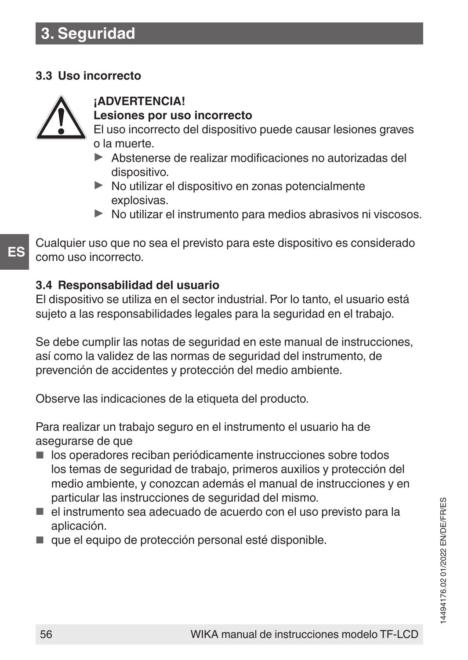## **3. Seguridad**

#### **3.3 Uso incorrecto**



**ES**

#### **¡ADVERTENCIA! Lesiones por uso incorrecto**

El uso incorrecto del dispositivo puede causar lesiones graves o la muerte.

- ▶ Abstenerse de realizar modificaciones no autorizadas del dispositivo.
- ▶ No utilizar el dispositivo en zonas potencialmente explosivas.
- ▶ No utilizar el instrumento para medios abrasivos ni viscosos.

Cualquier uso que no sea el previsto para este dispositivo es considerado como uso incorrecto.

#### **3.4 Responsabilidad del usuario**

El dispositivo se utiliza en el sector industrial. Por lo tanto, el usuario está sujeto a las responsabilidades legales para la seguridad en el trabajo.

Se debe cumplir las notas de seguridad en este manual de instrucciones, así como la validez de las normas de seguridad del instrumento, de prevención de accidentes y protección del medio ambiente.

Observe las indicaciones de la etiqueta del producto.

Para realizar un trabajo seguro en el instrumento el usuario ha de asegurarse de que

- los operadores reciban periódicamente instrucciones sobre todos los temas de seguridad de trabajo, primeros auxilios y protección del medio ambiente, y conozcan además el manual de instrucciones y en particular las instrucciones de seguridad del mismo.
- el instrumento sea adecuado de acuerdo con el uso previsto para la aplicación.
- que el equipo de protección personal esté disponible.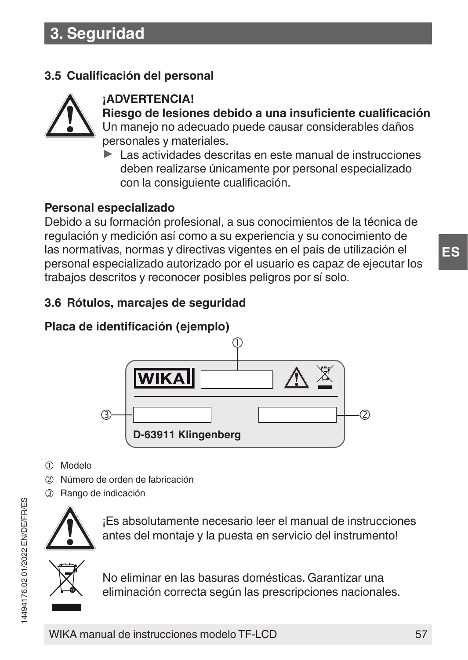#### **3.5 Cualificación del personal**



#### **¡ADVERTENCIA!**

**Riesgo de lesiones debido a una insuficiente cualificación** Un manejo no adecuado puede causar considerables daños personales y materiales.

▶ Las actividades descritas en este manual de instrucciones deben realizarse únicamente por personal especializado con la consiguiente cualificación.

#### **Personal especializado**

Debido a su formación profesional, a sus conocimientos de la técnica de regulación y medición así como a su experiencia y su conocimiento de las normativas, normas y directivas vigentes en el país de utilización el personal especializado autorizado por el usuario es capaz de ejecutar los trabajos descritos y reconocer posibles peligros por sí solo.

#### **3.6 Rótulos, marcajes de seguridad**

#### **Placa de identificación (ejemplo)**



- Modelo
- Número de orden de fabricación
- Rango de indicación



¡Es absolutamente necesario leer el manual de instrucciones antes del montaje y la puesta en servicio del instrumento!



14494176.02 01/2022 EN/DE/FR/ES

4494176.02 01/2022 EN/DE/FR/ES

No eliminar en las basuras domésticas. Garantizar una eliminación correcta según las prescripciones nacionales.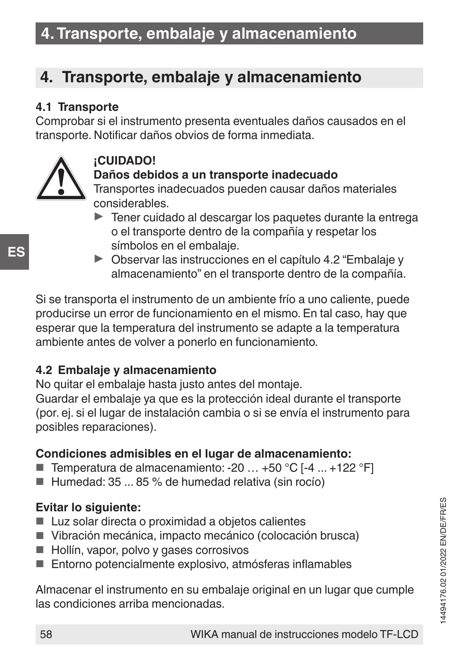## <span id="page-57-0"></span>**4. Transporte, embalaje y almacenamiento**

#### **4.1 Transporte**

Comprobar si el instrumento presenta eventuales daños causados en el transporte. Notificar daños obvios de forma inmediata.



#### **¡CUIDADO!**

#### **Daños debidos a un transporte inadecuado**

Transportes inadecuados pueden causar daños materiales considerables.

- ▶ Tener cuidado al descargar los paquetes durante la entrega o el transporte dentro de la compañía y respetar los símbolos en el embalaje.
- ▶ Observar las instrucciones en el capítulo 4.2 "Embalaie y [almacenamiento"](#page-57-1) en el transporte dentro de la compañía.

Si se transporta el instrumento de un ambiente frío a uno caliente, puede producirse un error de funcionamiento en el mismo. En tal caso, hay que esperar que la temperatura del instrumento se adapte a la temperatura ambiente antes de volver a ponerlo en funcionamiento.

#### <span id="page-57-1"></span>**4.2 Embalaje y almacenamiento**

No quitar el embalaje hasta justo antes del montaje.

Guardar el embalaje ya que es la protección ideal durante el transporte (por. ej. si el lugar de instalación cambia o si se envía el instrumento para posibles reparaciones).

#### **Condiciones admisibles en el lugar de almacenamiento:**

- Temperatura de almacenamiento: -20 … +50 °C [-4 ... +122 °F]
- Humedad: 35 ... 85 % de humedad relativa (sin rocío)

#### **Evitar lo siguiente:**

- Luz solar directa o proximidad a objetos calientes
- Vibración mecánica, impacto mecánico (colocación brusca)
- Hollín, vapor, polvo y gases corrosivos
- Entorno potencialmente explosivo, atmósferas inflamables

Almacenar el instrumento en su embalaje original en un lugar que cumple las condiciones arriba mencionadas.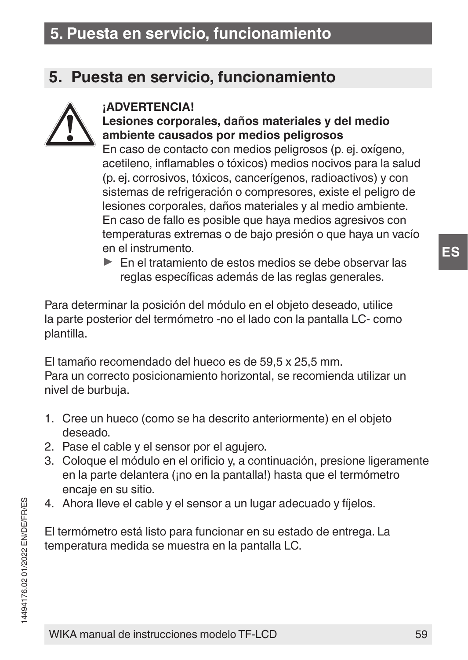## <span id="page-58-0"></span>**5. Puesta en servicio, funcionamiento**



#### **¡ADVERTENCIA! Lesiones corporales, daños materiales y del medio ambiente causados por medios peligrosos**

En caso de contacto con medios peligrosos (p. ej. oxígeno, acetileno, inflamables o tóxicos) medios nocivos para la salud (p. ej. corrosivos, tóxicos, cancerígenos, radioactivos) y con sistemas de refrigeración o compresores, existe el peligro de lesiones corporales, daños materiales y al medio ambiente. En caso de fallo es posible que haya medios agresivos con temperaturas extremas o de bajo presión o que haya un vacío en el instrumento.

▶ En el tratamiento de estos medios se debe observar las reglas específicas además de las reglas generales.

Para determinar la posición del módulo en el objeto deseado, utilice la parte posterior del termómetro -no el lado con la pantalla LC- como plantilla.

El tamaño recomendado del hueco es de 59,5 x 25,5 mm. Para un correcto posicionamiento horizontal, se recomienda utilizar un nivel de burbuja.

- 1. Cree un hueco (como se ha descrito anteriormente) en el objeto deseado.
- 2. Pase el cable y el sensor por el agujero.
- 3. Coloque el módulo en el orificio y, a continuación, presione ligeramente en la parte delantera (¡no en la pantalla!) hasta que el termómetro encaje en su sitio.
- 4. Ahora lleve el cable y el sensor a un lugar adecuado y fíjelos.

El termómetro está listo para funcionar en su estado de entrega. La temperatura medida se muestra en la pantalla LC.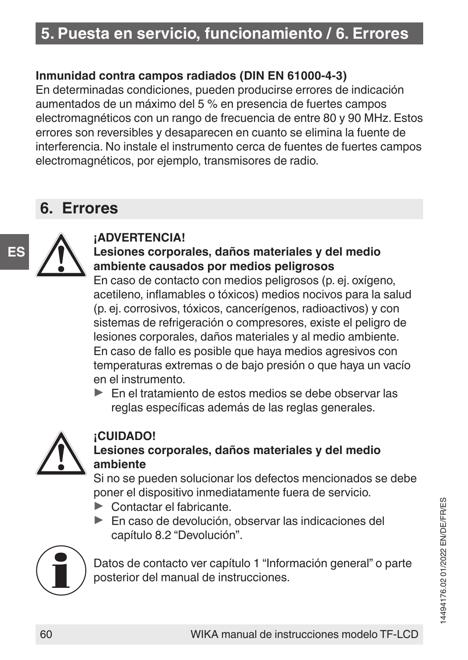## <span id="page-59-0"></span>**5. Puesta en servicio, funcionamiento / 6. Errores**

#### **Inmunidad contra campos radiados (DIN EN 61000-4-3)**

En determinadas condiciones, pueden producirse errores de indicación aumentados de un máximo del 5 % en presencia de fuertes campos electromagnéticos con un rango de frecuencia de entre 80 y 90 MHz. Estos errores son reversibles y desaparecen en cuanto se elimina la fuente de interferencia. No instale el instrumento cerca de fuentes de fuertes campos electromagnéticos, por ejemplo, transmisores de radio.

### **6. Errores**



#### **¡ADVERTENCIA! Lesiones corporales, daños materiales y del medio ambiente causados por medios peligrosos**

En caso de contacto con medios peligrosos (p. ej. oxígeno, acetileno, inflamables o tóxicos) medios nocivos para la salud (p. ej. corrosivos, tóxicos, cancerígenos, radioactivos) y con sistemas de refrigeración o compresores, existe el peligro de lesiones corporales, daños materiales y al medio ambiente. En caso de fallo es posible que haya medios agresivos con temperaturas extremas o de bajo presión o que haya un vacío en el instrumento.

▶ En el tratamiento de estos medios se debe observar las reglas específicas además de las reglas generales.



#### **¡CUIDADO!**

#### **Lesiones corporales, daños materiales y del medio ambiente**

Si no se pueden solucionar los defectos mencionados se debe poner el dispositivo inmediatamente fuera de servicio.

- ▶ Contactar el fabricante.
- ▶ En caso de devolución, observar las indicaciones del capítulo [8.2 "Devolución"](#page-62-0).



Datos de contacto ver capítulo 1 "Información general" o parte posterior del manual de instrucciones.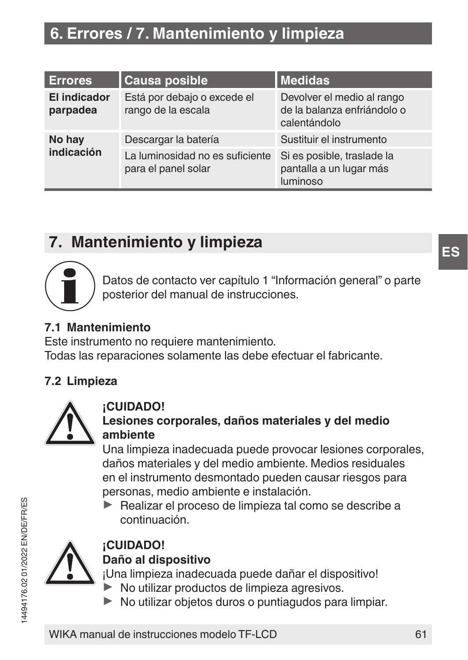## <span id="page-60-0"></span>**6. Errores / 7. Mantenimiento y limpieza**

| <b>Errores</b>           | Causa posible                                          | <b>Medidas</b>                                                            |
|--------------------------|--------------------------------------------------------|---------------------------------------------------------------------------|
| El indicador<br>parpadea | Está por debajo o excede el<br>rango de la escala      | Devolver el medio al rango<br>de la balanza enfriándolo o<br>calentándolo |
| No hay                   | Descargar la batería                                   | Sustituir el instrumento                                                  |
| indicación               | La luminosidad no es suficiente<br>para el panel solar | Si es posible, traslade la<br>pantalla a un lugar más<br>luminoso         |

## **7. Mantenimiento y limpieza**



Datos de contacto ver capítulo 1 "Información general" o parte posterior del manual de instrucciones.

#### **7.1 Mantenimiento**

Este instrumento no requiere mantenimiento. Todas las reparaciones solamente las debe efectuar el fabricante.

#### **7.2 Limpieza**



#### <span id="page-60-1"></span>**¡CUIDADO!**

#### **Lesiones corporales, daños materiales y del medio ambiente**

Una limpieza inadecuada puede provocar lesiones corporales, daños materiales y del medio ambiente. Medios residuales en el instrumento desmontado pueden causar riesgos para personas, medio ambiente e instalación.

▶ Realizar el proceso de limpieza tal como se describe a continuación.



14494176.02 01/2022 EN/DE/FR/ES

4494176.02 01/2022 EWDE/FR/ES

#### **¡CUIDADO! Daño al dispositivo**

¡Una limpieza inadecuada puede dañar el dispositivo!

- ▶ No utilizar productos de limpieza agresivos.
- $\triangleright$  No utilizar objetos duros o puntiagudos para limpiar.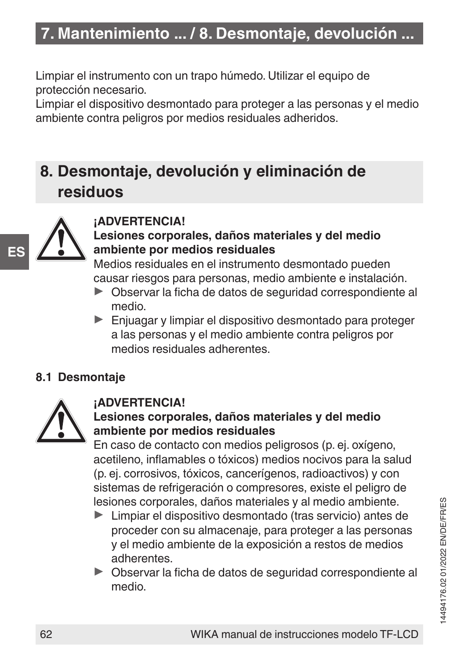## <span id="page-61-0"></span>**7. Mantenimiento ... / 8. Desmontaje, devolución ...**

Limpiar el instrumento con un trapo húmedo. Utilizar el equipo de protección necesario.

Limpiar el dispositivo desmontado para proteger a las personas y el medio ambiente contra peligros por medios residuales adheridos.

## **8. Desmontaje, devolución y eliminación de residuos**



**ES**

#### **¡ADVERTENCIA!**

#### **Lesiones corporales, daños materiales y del medio ambiente por medios residuales**

Medios residuales en el instrumento desmontado pueden causar riesgos para personas, medio ambiente e instalación.

- ▶ Observar la ficha de datos de seguridad correspondiente al medio.
- ▶ Enjuagar y limpiar el dispositivo desmontado para proteger a las personas y el medio ambiente contra peligros por medios residuales adherentes.

#### **8.1 Desmontaje**



#### **¡ADVERTENCIA!**

#### **Lesiones corporales, daños materiales y del medio ambiente por medios residuales**

En caso de contacto con medios peligrosos (p. ej. oxígeno, acetileno, inflamables o tóxicos) medios nocivos para la salud (p. ej. corrosivos, tóxicos, cancerígenos, radioactivos) y con sistemas de refrigeración o compresores, existe el peligro de lesiones corporales, daños materiales y al medio ambiente.

- ▶ Limpiar el dispositivo desmontado (tras servicio) antes de proceder con su almacenaje, para proteger a las personas y el medio ambiente de la exposición a restos de medios adherentes.
- ▶ Observar la ficha de datos de seguridad correspondiente al medio.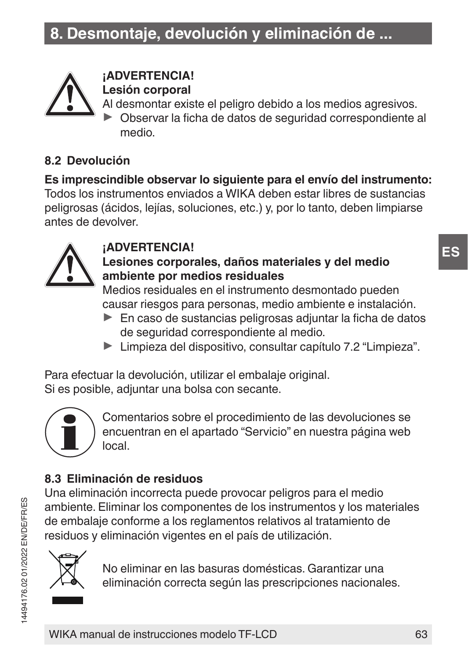

#### **¡ADVERTENCIA! Lesión corporal**

Al desmontar existe el peligro debido a los medios agresivos.

<span id="page-62-0"></span>▶ Observar la ficha de datos de seguridad correspondiente al medio.

#### **8.2 Devolución**

**Es imprescindible observar lo siguiente para el envío del instrumento:** Todos los instrumentos enviados a WIKA deben estar libres de sustancias peligrosas (ácidos, lejías, soluciones, etc.) y, por lo tanto, deben limpiarse antes de devolver.



#### **¡ADVERTENCIA!**

**Lesiones corporales, daños materiales y del medio ambiente por medios residuales**

Medios residuales en el instrumento desmontado pueden causar riesgos para personas, medio ambiente e instalación.

- $\blacktriangleright$  En caso de sustancias peligrosas adjuntar la ficha de datos de seguridad correspondiente al medio.
- ▶ Limpieza del dispositivo, consultar capítulo [7.2 "Limpieza"](#page-60-1).

Para efectuar la devolución, utilizar el embalaje original. Si es posible, adjuntar una bolsa con secante.



Comentarios sobre el procedimiento de las devoluciones se encuentran en el apartado "Servicio" en nuestra página web local.

#### **8.3 Eliminación de residuos**

Una eliminación incorrecta puede provocar peligros para el medio ambiente. Eliminar los componentes de los instrumentos y los materiales de embalaje conforme a los reglamentos relativos al tratamiento de residuos y eliminación vigentes en el país de utilización.



No eliminar en las basuras domésticas. Garantizar una eliminación correcta según las prescripciones nacionales.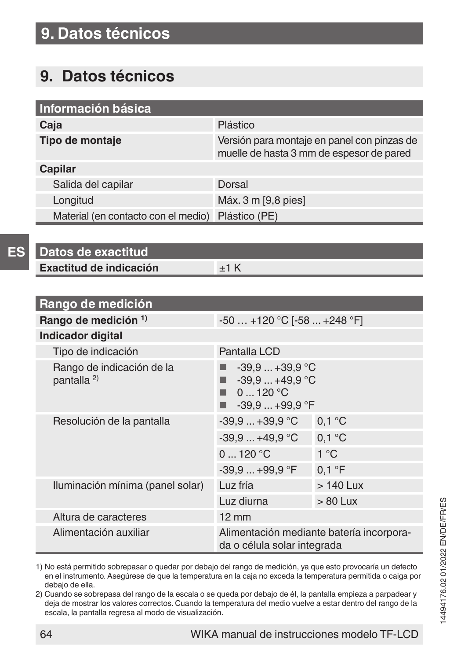## <span id="page-63-0"></span>**9. Datos técnicos**

## **9. Datos técnicos**

| Información básica                  |                                                                                         |
|-------------------------------------|-----------------------------------------------------------------------------------------|
| Caja                                | Plástico                                                                                |
| Tipo de montaje                     | Versión para montaje en panel con pinzas de<br>muelle de hasta 3 mm de espesor de pared |
| Capilar                             |                                                                                         |
| Salida del capilar                  | Dorsal                                                                                  |
| Longitud                            | Máx. 3 m [9,8 pies]                                                                     |
| Material (en contacto con el medio) | Plástico (PE)                                                                           |

#### **Datos de exactitud**

**Exactitud de indicación**  $\pm 1$  K

| Rango de medición                                   |                                                                                       |               |
|-----------------------------------------------------|---------------------------------------------------------------------------------------|---------------|
| Rango de medición 1)                                | $-50+120$ °C [ $-58+248$ °F]                                                          |               |
| Indicador digital                                   |                                                                                       |               |
| Tipo de indicación                                  | Pantalla LCD                                                                          |               |
| Rango de indicación de la<br>pantalla <sup>2)</sup> | $-39.9+39.9$ °C<br>■ $-39.9+49.9$ °C<br>$\blacksquare$ 0  120 °C<br>■ $-39.9+99.9$ °F |               |
| Resolución de la pantalla                           | $-39.9+39.9$ °C                                                                       | 0.1 °C        |
|                                                     | $-39.9+49.9$ °C                                                                       | 0.1 °C        |
|                                                     | 0120 °C                                                                               | $1^{\circ}$ C |
|                                                     | $-39.9+99.9$ °F                                                                       | 0.1 °F        |
| Iluminación mínima (panel solar)                    | Luz fría                                                                              | $>140$ Lux    |
|                                                     | Luz diurna                                                                            | $> 80$ Lux    |
| Altura de caracteres                                | $12 \text{ mm}$                                                                       |               |
| Alimentación auxiliar                               | Alimentación mediante batería incorpora-<br>da o célula solar integrada               |               |

1) No está permitido sobrepasar o quedar por debajo del rango de medición, ya que esto provocaría un defecto en el instrumento. Asegúrese de que la temperatura en la caja no exceda la temperatura permitida o caiga por debajo de ella.

2) Cuando se sobrepasa del rango de la escala o se queda por debajo de él, la pantalla empieza a parpadear y deja de mostrar los valores correctos. Cuando la temperatura del medio vuelve a estar dentro del rango de la escala, la pantalla regresa al modo de visualización.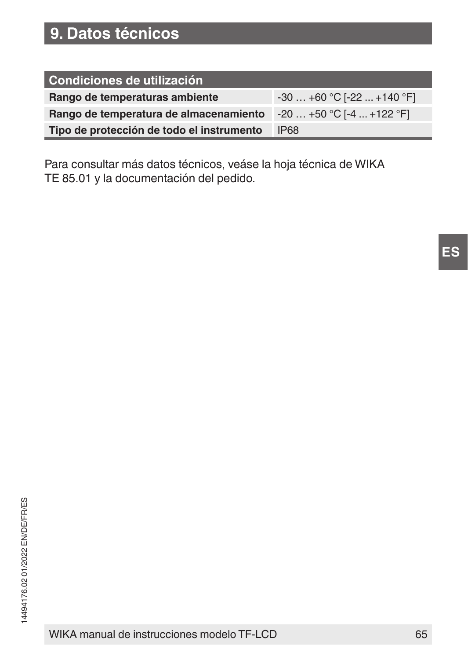## **9. Datos técnicos**

| Condiciones de utilización                |                              |
|-------------------------------------------|------------------------------|
| Rango de temperaturas ambiente            | $-30+60 °C$ [ $-22+140 °F$ ] |
| Rango de temperatura de almacenamiento    | $-20+50$ °C [-4  +122 °F]    |
| Tipo de protección de todo el instrumento | <b>IP68</b>                  |

Para consultar más datos técnicos, veáse la hoja técnica de WIKA TE 85.01 y la documentación del pedido.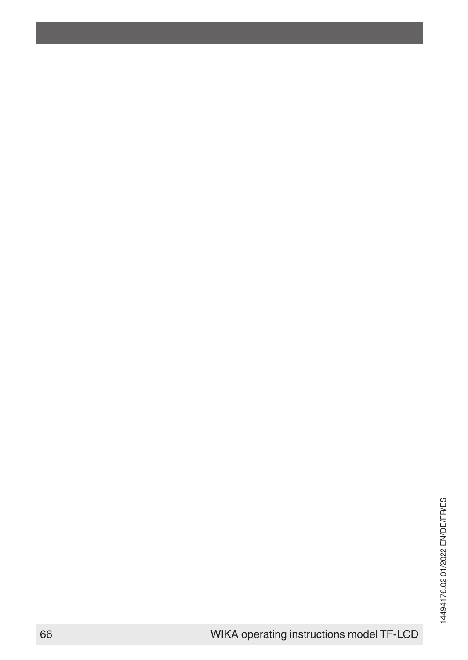